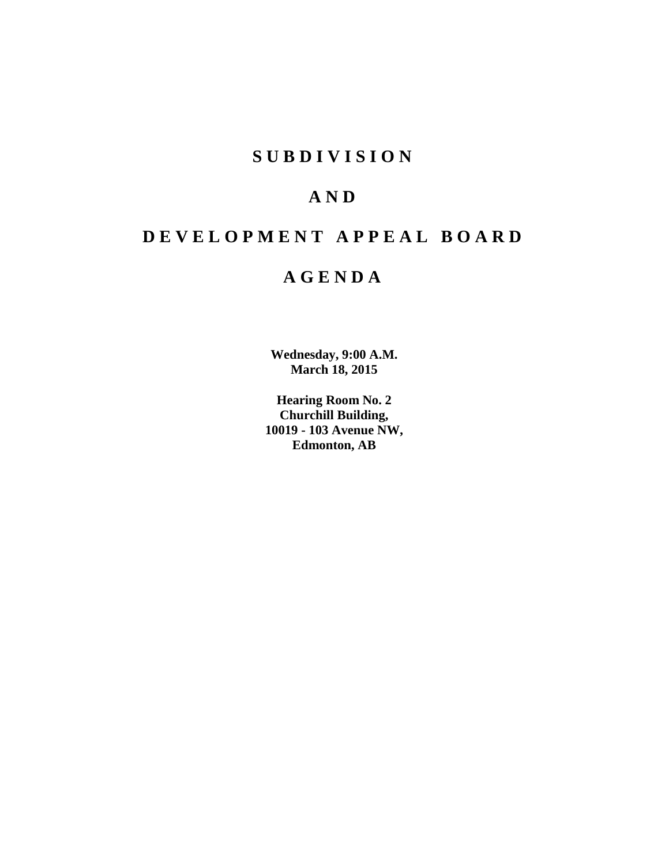# **SUBDIVISION**

# **AND**

# **DEVELOPMENT APPEAL BOARD**

# **AGENDA**

**Wednesday, 9:00 A.M. March 18, 2015**

**Hearing Room No. 2 Churchill Building, 10019 - 103 Avenue NW, Edmonton, AB**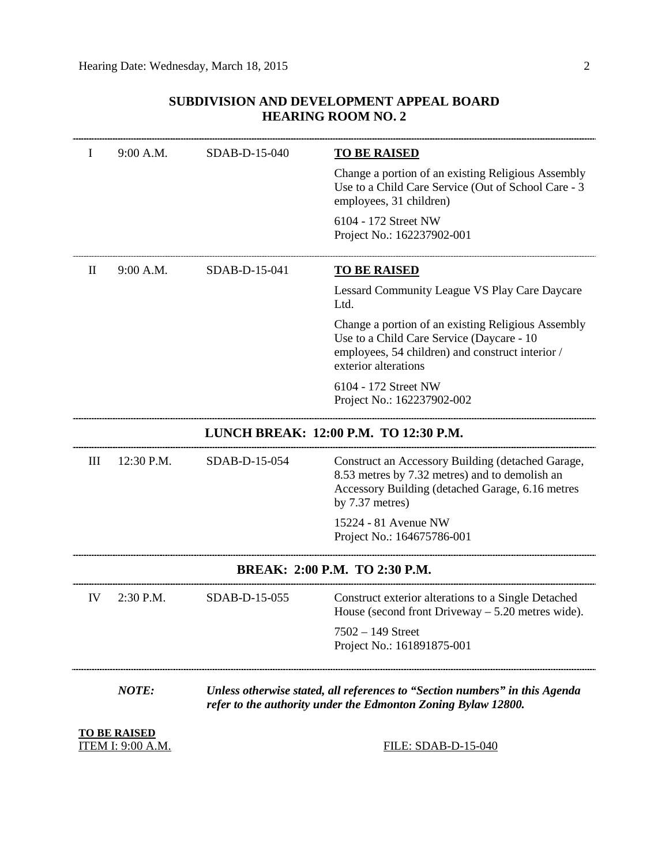# **SUBDIVISION AND DEVELOPMENT APPEAL BOARD HEARING ROOM NO. 2**

| 9:00 A.M.                                       | SDAB-D-15-040                                                                                                                                | <u>TO BE RAISED</u>                                                                                                                                                          |
|-------------------------------------------------|----------------------------------------------------------------------------------------------------------------------------------------------|------------------------------------------------------------------------------------------------------------------------------------------------------------------------------|
|                                                 |                                                                                                                                              | Change a portion of an existing Religious Assembly<br>Use to a Child Care Service (Out of School Care - 3<br>employees, 31 children)                                         |
|                                                 |                                                                                                                                              | 6104 - 172 Street NW<br>Project No.: 162237902-001                                                                                                                           |
| 9:00 A.M.                                       | SDAB-D-15-041                                                                                                                                | <b>TO BE RAISED</b>                                                                                                                                                          |
|                                                 |                                                                                                                                              | Lessard Community League VS Play Care Daycare<br>Ltd.                                                                                                                        |
|                                                 |                                                                                                                                              | Change a portion of an existing Religious Assembly<br>Use to a Child Care Service (Daycare - 10<br>employees, 54 children) and construct interior /<br>exterior alterations  |
|                                                 |                                                                                                                                              | 6104 - 172 Street NW<br>Project No.: 162237902-002                                                                                                                           |
|                                                 |                                                                                                                                              | LUNCH BREAK: 12:00 P.M. TO 12:30 P.M.                                                                                                                                        |
| 12:30 P.M.                                      | SDAB-D-15-054                                                                                                                                | Construct an Accessory Building (detached Garage,<br>8.53 metres by 7.32 metres) and to demolish an<br>Accessory Building (detached Garage, 6.16 metres<br>by $7.37$ metres) |
|                                                 |                                                                                                                                              | 15224 - 81 Avenue NW<br>Project No.: 164675786-001                                                                                                                           |
| BREAK: 2:00 P.M. TO 2:30 P.M.                   |                                                                                                                                              |                                                                                                                                                                              |
| $2:30$ P.M.                                     | SDAB-D-15-055                                                                                                                                | Construct exterior alterations to a Single Detached<br>House (second front Driveway $-5.20$ metres wide).                                                                    |
|                                                 |                                                                                                                                              | $7502 - 149$ Street<br>Project No.: 161891875-001                                                                                                                            |
| <b>NOTE:</b>                                    | Unless otherwise stated, all references to "Section numbers" in this Agenda<br>refer to the authority under the Edmonton Zoning Bylaw 12800. |                                                                                                                                                                              |
| <b>TO BE RAISED</b><br><b>ITEM I: 9:00 A.M.</b> | <b>FILE: SDAB-D-15-040</b>                                                                                                                   |                                                                                                                                                                              |
|                                                 |                                                                                                                                              |                                                                                                                                                                              |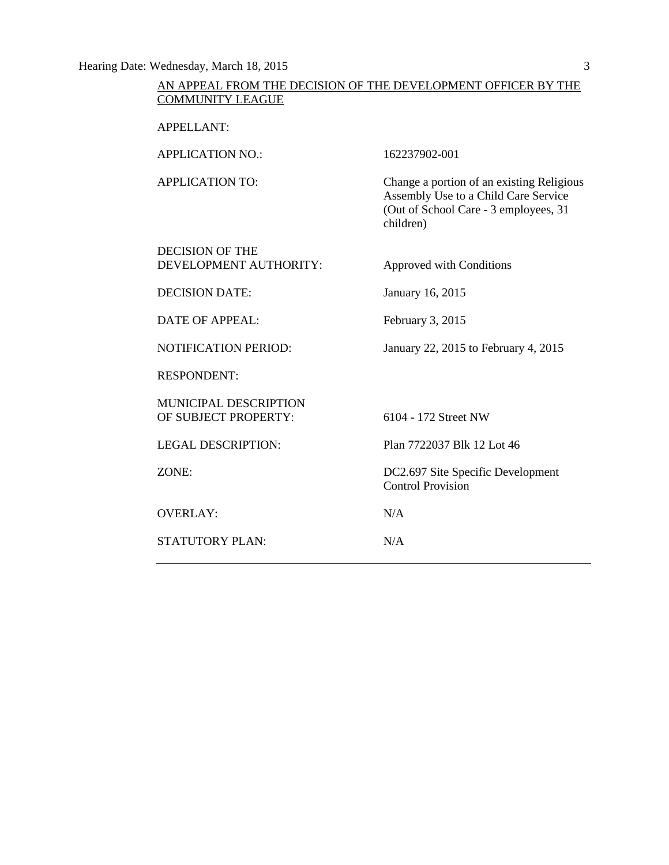Hearing Date: Wednesday, March 18, 2015 3

# AN APPEAL FROM THE DECISION OF THE DEVELOPMENT OFFICER BY THE COMMUNITY LEAGUE

APPELLANT:

APPLICATION NO.: 162237902-001 APPLICATION TO: Change a portion of an existing Religious Assembly Use to a Child Care Service (Out of School Care - 3 employees, 31 children)

DECISION OF THE DEVELOPMENT AUTHORITY: Approved with Conditions

DECISION DATE: January 16, 2015

DATE OF APPEAL: February 3, 2015

NOTIFICATION PERIOD: January 22, 2015 to February 4, 2015

RESPONDENT:

MUNICIPAL DESCRIPTION OF SUBJECT PROPERTY: 6104 - 172 Street NW

OVERLAY: N/A

STATUTORY PLAN: N/A

LEGAL DESCRIPTION: Plan 7722037 Blk 12 Lot 46

ZONE: DC2.697 Site Specific Development Control Provision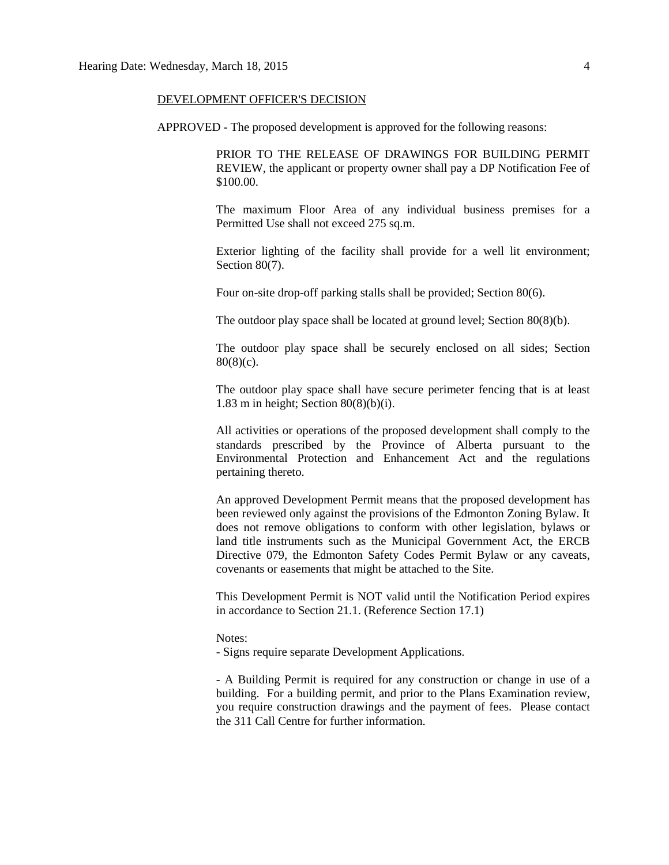#### DEVELOPMENT OFFICER'S DECISION

APPROVED - The proposed development is approved for the following reasons:

PRIOR TO THE RELEASE OF DRAWINGS FOR BUILDING PERMIT REVIEW, the applicant or property owner shall pay a DP Notification Fee of \$100.00.

The maximum Floor Area of any individual business premises for a Permitted Use shall not exceed 275 sq.m.

Exterior lighting of the facility shall provide for a well lit environment; Section 80(7).

Four on-site drop-off parking stalls shall be provided; Section 80(6).

The outdoor play space shall be located at ground level; Section 80(8)(b).

The outdoor play space shall be securely enclosed on all sides; Section  $80(8)(c)$ .

The outdoor play space shall have secure perimeter fencing that is at least 1.83 m in height; Section 80(8)(b)(i).

All activities or operations of the proposed development shall comply to the standards prescribed by the Province of Alberta pursuant to the Environmental Protection and Enhancement Act and the regulations pertaining thereto.

An approved Development Permit means that the proposed development has been reviewed only against the provisions of the Edmonton Zoning Bylaw. It does not remove obligations to conform with other legislation, bylaws or land title instruments such as the Municipal Government Act, the ERCB Directive 079, the Edmonton Safety Codes Permit Bylaw or any caveats, covenants or easements that might be attached to the Site.

This Development Permit is NOT valid until the Notification Period expires in accordance to Section 21.1. (Reference Section 17.1)

#### Notes:

- Signs require separate Development Applications.

- A Building Permit is required for any construction or change in use of a building. For a building permit, and prior to the Plans Examination review, you require construction drawings and the payment of fees. Please contact the 311 Call Centre for further information.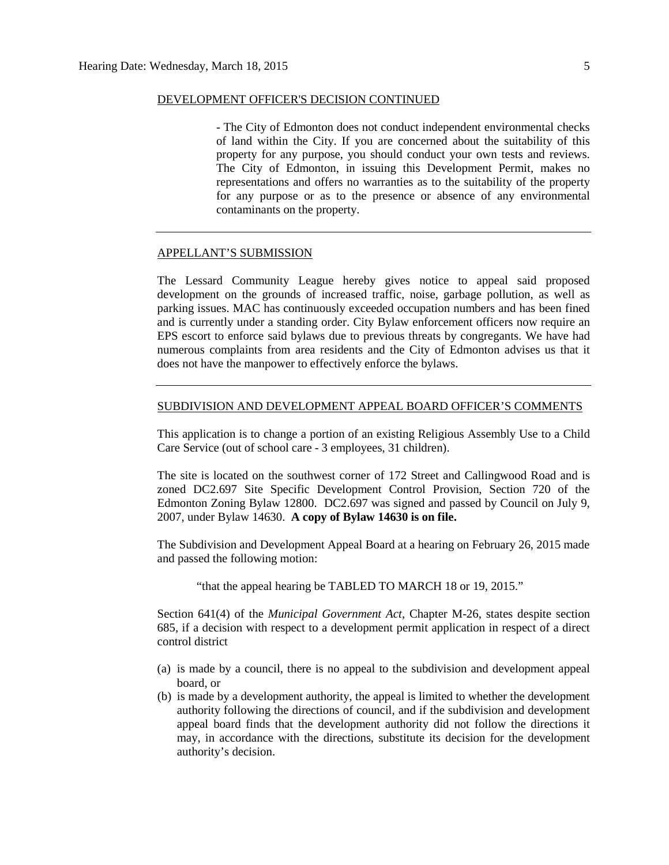#### DEVELOPMENT OFFICER'S DECISION CONTINUED

- The City of Edmonton does not conduct independent environmental checks of land within the City. If you are concerned about the suitability of this property for any purpose, you should conduct your own tests and reviews. The City of Edmonton, in issuing this Development Permit, makes no representations and offers no warranties as to the suitability of the property for any purpose or as to the presence or absence of any environmental contaminants on the property.

#### APPELLANT'S SUBMISSION

The Lessard Community League hereby gives notice to appeal said proposed development on the grounds of increased traffic, noise, garbage pollution, as well as parking issues. MAC has continuously exceeded occupation numbers and has been fined and is currently under a standing order. City Bylaw enforcement officers now require an EPS escort to enforce said bylaws due to previous threats by congregants. We have had numerous complaints from area residents and the City of Edmonton advises us that it does not have the manpower to effectively enforce the bylaws.

#### SUBDIVISION AND DEVELOPMENT APPEAL BOARD OFFICER'S COMMENTS

This application is to change a portion of an existing Religious Assembly Use to a Child Care Service (out of school care - 3 employees, 31 children).

The site is located on the southwest corner of 172 Street and Callingwood Road and is zoned DC2.697 Site Specific Development Control Provision, Section 720 of the Edmonton Zoning Bylaw 12800. DC2.697 was signed and passed by Council on July 9, 2007, under Bylaw 14630. **A copy of Bylaw 14630 is on file.**

The Subdivision and Development Appeal Board at a hearing on February 26, 2015 made and passed the following motion:

"that the appeal hearing be TABLED TO MARCH 18 or 19, 2015."

Section 641(4) of the *Municipal Government Act*, Chapter M-26, states despite section 685, if a decision with respect to a development permit application in respect of a direct control district

- (a) is made by a council, there is no appeal to the subdivision and development appeal board, or
- (b) is made by a development authority, the appeal is limited to whether the development authority following the directions of council, and if the subdivision and development appeal board finds that the development authority did not follow the directions it may, in accordance with the directions, substitute its decision for the development authority's decision.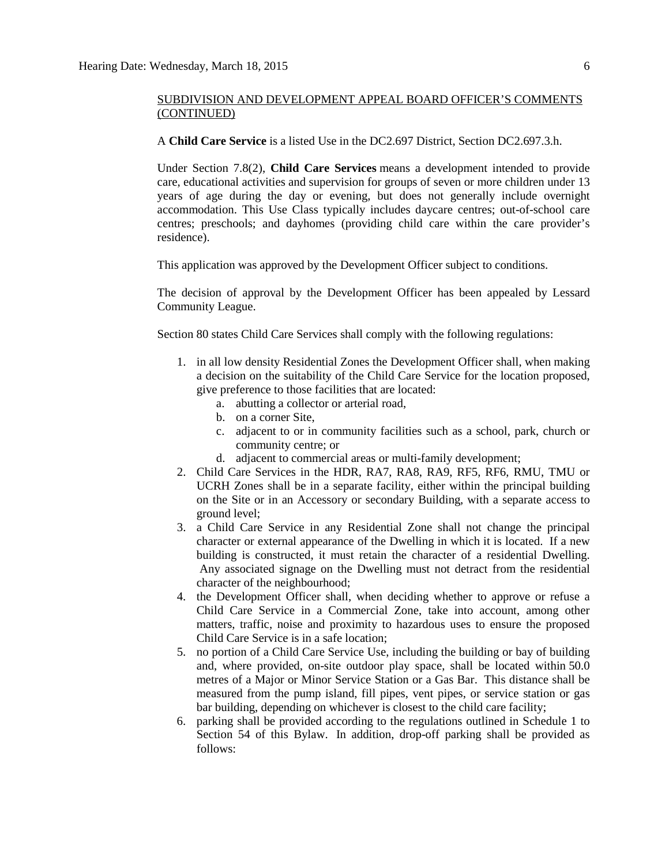A **Child Care Service** is a listed Use in the DC2.697 District, Section DC2.697.3.h.

Under Section 7.8(2), **Child Care Services** means a development intended to provide care, educational activities and supervision for groups of seven or more children under 13 years of age during the day or evening, but does not generally include overnight accommodation. This Use Class typically includes daycare centres; out-of-school care centres; preschools; and dayhomes (providing child care within the care provider's residence).

This application was approved by the Development Officer subject to conditions.

The decision of approval by the Development Officer has been appealed by Lessard Community League.

Section 80 state[s Child Care Services](javascript:void(0);) shall comply with the following regulations:

- 1. in all low density Residential Zones the Development Officer shall, when making a decision on the suitability of the Child Care Service for the location proposed, give preference to those facilities that are located:
	- a. abutting a collector or arterial road,
	- b. on a corner Site,
	- c. adjacent to or in community facilities such as a school, park, church or community centre; or
	- d. adjacent to commercial areas or multi-family development;
- 2. Child Care Services in the HDR, RA7, RA8, RA9, RF5, RF6, RMU, TMU or UCRH Zones shall be in a separate facility, either within the principal building on the Site or in an Accessory or secondary Building, with a separate access to ground level;
- 3. a Child Care Service in any Residential Zone shall not change the principal character or external appearance of the Dwelling in which it is located. If a new building is constructed, it must retain the character of a residential Dwelling. Any associated signage on the Dwelling must not detract from the residential character of the neighbourhood;
- 4. the Development Officer shall, when deciding whether to approve or refuse a Child Care Service in a Commercial Zone, take into account, among other matters, traffic, noise and proximity to hazardous uses to ensure the proposed Child Care Service is in a safe location;
- 5. no portion of a Child Care Service Use, including the building or bay of building and, where provided, on-site outdoor play space, shall be located within 50.0 metres of a Major or Minor Service Station or a Gas Bar. This distance shall be measured from the pump island, fill pipes, vent pipes, or service station or gas bar building, depending on whichever is closest to the child care facility;
- 6. parking shall be provided according to the regulations outlined in Schedule 1 to Section 54 of this Bylaw. In addition, drop-off parking shall be provided as follows: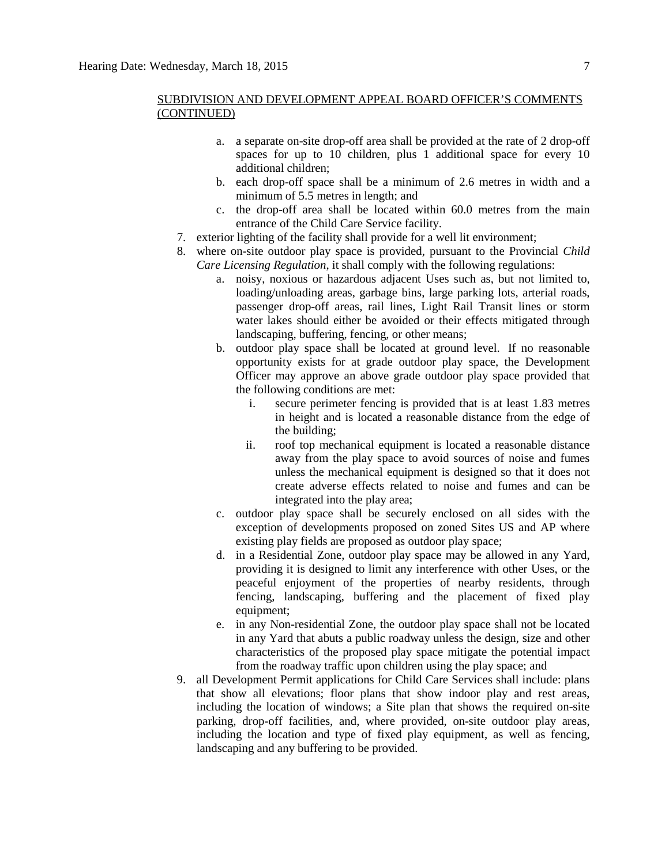- a. a separate on-site drop-off area shall be provided at the rate of 2 drop-off spaces for up to 10 children, plus 1 additional space for every 10 additional children;
- b. each drop-off space shall be a minimum of 2.6 metres in width and a minimum of 5.5 metres in length; and
- c. the drop-off area shall be located within 60.0 metres from the main entrance of the Child Care Service facility.
- 7. exterior lighting of the facility shall provide for a well lit environment;
- 8. where on-site outdoor play space is provided, pursuant to the Provincial *Child Care Licensing Regulation*, it shall comply with the following regulations:
	- a. noisy, noxious or hazardous adjacent Uses such as, but not limited to, loading/unloading areas, garbage bins, large parking lots, arterial roads, passenger drop-off areas, rail lines, Light Rail Transit lines or storm water lakes should either be avoided or their effects mitigated through landscaping, buffering, fencing, or other means;
	- b. outdoor play space shall be located at ground level. If no reasonable opportunity exists for at grade outdoor play space, the Development Officer may approve an above grade outdoor play space provided that the following conditions are met:
		- i. secure perimeter fencing is provided that is at least 1.83 metres in height and is located a reasonable distance from the edge of the building;
		- ii. roof top mechanical equipment is located a reasonable distance away from the play space to avoid sources of noise and fumes unless the mechanical equipment is designed so that it does not create adverse effects related to noise and fumes and can be integrated into the play area;
	- c. outdoor play space shall be securely enclosed on all sides with the exception of developments proposed on zoned Sites US and AP where existing play fields are proposed as outdoor play space;
	- d. in a Residential Zone, outdoor play space may be allowed in any Yard, providing it is designed to limit any interference with other Uses, or the peaceful enjoyment of the properties of nearby residents, through fencing, landscaping, buffering and the placement of fixed play equipment;
	- e. in any Non-residential Zone, the outdoor play space shall not be located in any Yard that abuts a public roadway unless the design, size and other characteristics of the proposed play space mitigate the potential impact from the roadway traffic upon children using the play space; and
- 9. all Development Permit applications for Child Care Services shall include: plans that show all elevations; floor plans that show indoor play and rest areas, including the location of windows; a Site plan that shows the required on-site parking, drop-off facilities, and, where provided, on-site outdoor play areas, including the location and type of fixed play equipment, as well as fencing. landscaping and any buffering to be provided.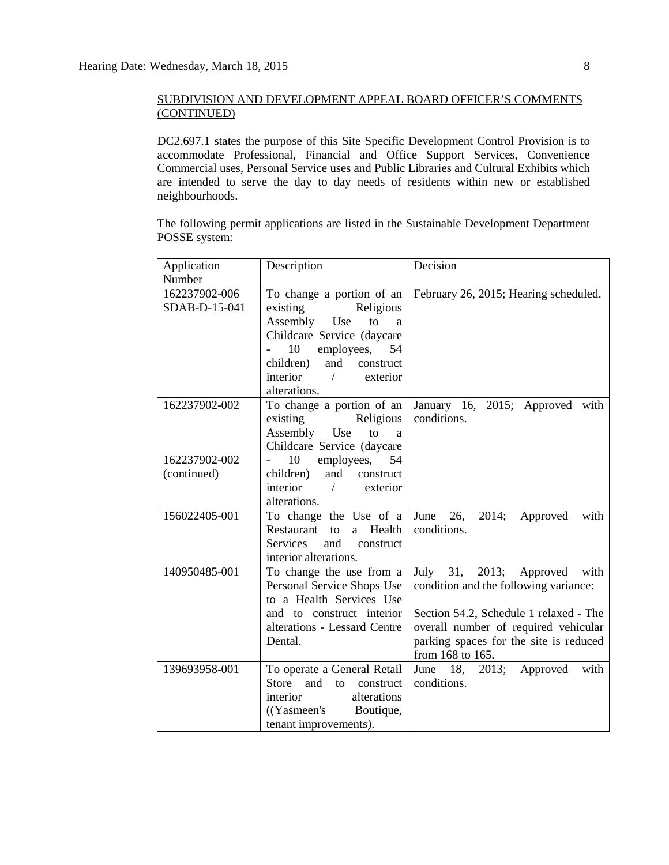DC2.697.1 states the purpose of this Site Specific Development Control Provision is to accommodate Professional, Financial and Office Support Services, Convenience Commercial uses, Personal Service uses and Public Libraries and Cultural Exhibits which are intended to serve the day to day needs of residents within new or established neighbourhoods.

The following permit applications are listed in the Sustainable Development Department POSSE system:

| Application                    | Description                                                                                                                                                                                             | Decision                                                                                                                                                                                                                 |
|--------------------------------|---------------------------------------------------------------------------------------------------------------------------------------------------------------------------------------------------------|--------------------------------------------------------------------------------------------------------------------------------------------------------------------------------------------------------------------------|
| Number                         |                                                                                                                                                                                                         |                                                                                                                                                                                                                          |
| 162237902-006<br>SDAB-D-15-041 | To change a portion of an<br>existing Religious<br>Assembly Use<br>to<br>a<br>Childcare Service (daycare<br>10<br>employees,<br>54<br>and construct<br>children)<br>interior / exterior<br>alterations. | February 26, 2015; Hearing scheduled.                                                                                                                                                                                    |
| 162237902-002<br>162237902-002 | To change a portion of an<br>Religious<br>existing<br>Assembly Use<br>to<br>a<br>Childcare Service (daycare<br>10<br>employees,<br>54                                                                   | January 16, 2015; Approved with<br>conditions.                                                                                                                                                                           |
| (continued)                    | children)<br>and<br>construct<br>$interior$ /<br>exterior<br>alterations.                                                                                                                               |                                                                                                                                                                                                                          |
| 156022405-001                  | To change the Use of a<br>a Health<br>Restaurant<br>to<br><b>Services</b><br>and<br>construct<br>interior alterations.                                                                                  | 26,<br>2014;<br>June<br>Approved<br>with<br>conditions.                                                                                                                                                                  |
| 140950485-001                  | To change the use from a<br>Personal Service Shops Use<br>to a Health Services Use<br>and to construct interior<br>alterations - Lessard Centre<br>Dental.                                              | July 31, 2013; Approved<br>with<br>condition and the following variance:<br>Section 54.2, Schedule 1 relaxed - The<br>overall number of required vehicular<br>parking spaces for the site is reduced<br>from 168 to 165. |
| 139693958-001                  | To operate a General Retail<br>Store<br>and<br>to<br>construct<br>alterations<br>interior<br>(Yasmeen's Boutique,<br>tenant improvements).                                                              | June 18, 2013; Approved<br>with<br>conditions.                                                                                                                                                                           |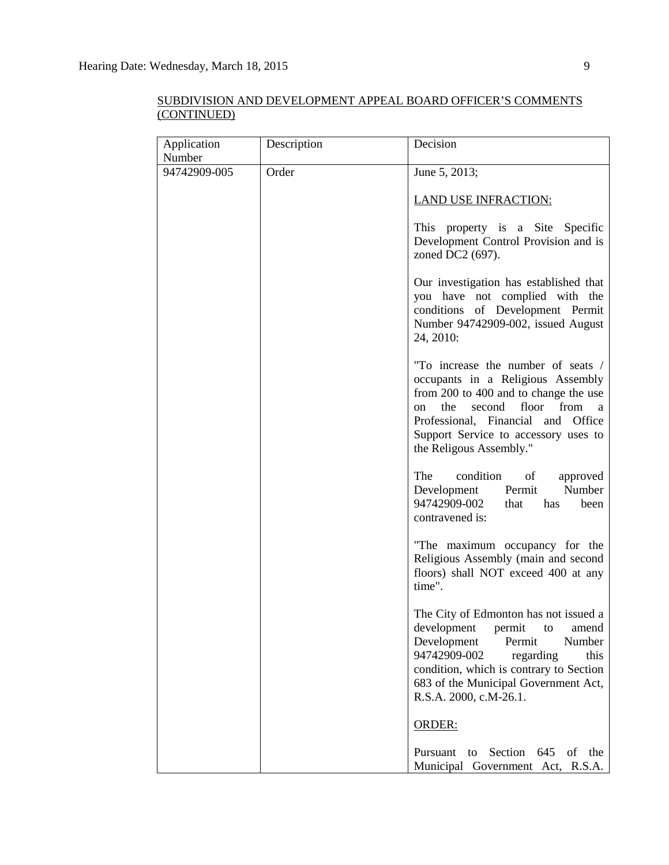| Application  | Description | Decision                                                                                                                                                                                                                                                               |
|--------------|-------------|------------------------------------------------------------------------------------------------------------------------------------------------------------------------------------------------------------------------------------------------------------------------|
| Number       |             |                                                                                                                                                                                                                                                                        |
| 94742909-005 | Order       | June 5, 2013;                                                                                                                                                                                                                                                          |
|              |             | <b>LAND USE INFRACTION:</b>                                                                                                                                                                                                                                            |
|              |             | This property is a Site Specific<br>Development Control Provision and is<br>zoned DC2 (697).                                                                                                                                                                           |
|              |             | Our investigation has established that<br>you have not complied with the<br>conditions of Development Permit<br>Number 94742909-002, issued August<br>24, 2010:                                                                                                        |
|              |             | "To increase the number of seats /<br>occupants in a Religious Assembly<br>from 200 to 400 and to change the use<br>the<br>floor<br>from<br>second<br>on<br>a<br>Professional, Financial and Office<br>Support Service to accessory uses to<br>the Religous Assembly." |
|              |             | The<br>condition<br>of<br>approved<br>Number<br>Permit<br>Development<br>94742909-002<br>that<br>has<br>been<br>contravened is:                                                                                                                                        |
|              |             | "The maximum occupancy for the<br>Religious Assembly (main and second<br>floors) shall NOT exceed 400 at any<br>time".                                                                                                                                                 |
|              |             | The City of Edmonton has not issued a<br>permit<br>amend<br>development<br>to<br>Development<br>Permit<br>Number<br>94742909-002<br>regarding<br>this<br>condition, which is contrary to Section<br>683 of the Municipal Government Act,<br>R.S.A. 2000, c.M-26.1.     |
|              |             | ORDER:                                                                                                                                                                                                                                                                 |
|              |             | Pursuant<br>to Section<br>645<br>of<br>the<br>Municipal Government Act, R.S.A.                                                                                                                                                                                         |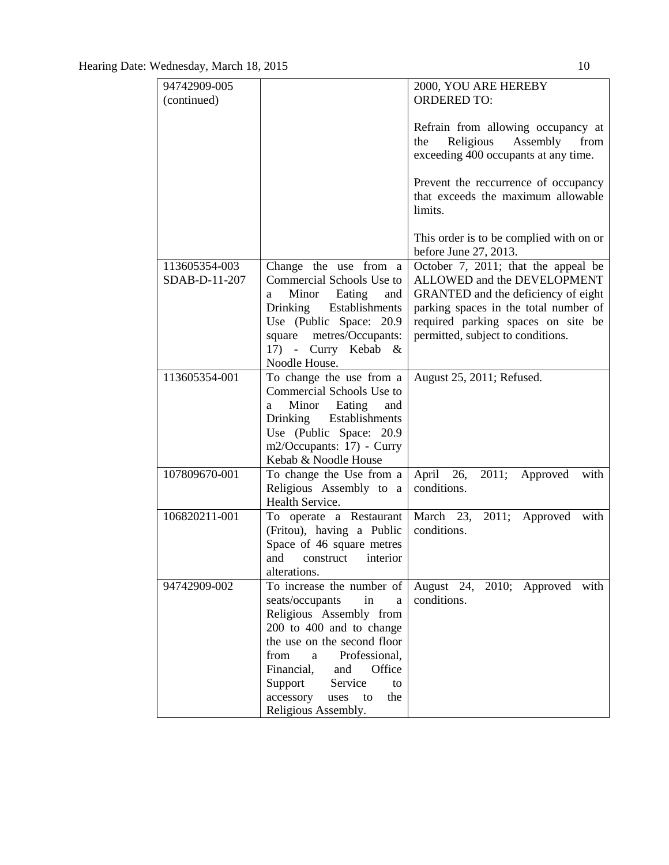| 94742909-005                 |                                                                                                                                                                                               | 2000, YOU ARE HEREBY                                                                                                                                                                                                                                                                                                |
|------------------------------|-----------------------------------------------------------------------------------------------------------------------------------------------------------------------------------------------|---------------------------------------------------------------------------------------------------------------------------------------------------------------------------------------------------------------------------------------------------------------------------------------------------------------------|
|                              |                                                                                                                                                                                               | <b>ORDERED TO:</b>                                                                                                                                                                                                                                                                                                  |
| (continued)<br>113605354-003 | Change the use from a                                                                                                                                                                         | Refrain from allowing occupancy at<br>Religious Assembly<br>from<br>the<br>exceeding 400 occupants at any time.<br>Prevent the reccurrence of occupancy<br>that exceeds the maximum allowable<br>limits.<br>This order is to be complied with on or<br>before June 27, 2013.<br>October 7, 2011; that the appeal be |
| SDAB-D-11-207                | Commercial Schools Use to                                                                                                                                                                     | ALLOWED and the DEVELOPMENT                                                                                                                                                                                                                                                                                         |
|                              | Minor Eating<br>and<br>a                                                                                                                                                                      | GRANTED and the deficiency of eight                                                                                                                                                                                                                                                                                 |
|                              | Drinking Establishments<br>Use (Public Space: 20.9)                                                                                                                                           | parking spaces in the total number of<br>required parking spaces on site be                                                                                                                                                                                                                                         |
|                              | square<br>metres/Occupants:                                                                                                                                                                   | permitted, subject to conditions.                                                                                                                                                                                                                                                                                   |
|                              | 17) - Curry Kebab &                                                                                                                                                                           |                                                                                                                                                                                                                                                                                                                     |
|                              | Noodle House.                                                                                                                                                                                 |                                                                                                                                                                                                                                                                                                                     |
| 113605354-001                | To change the use from a<br>Commercial Schools Use to<br>Minor Eating<br>and<br>a<br>Drinking Establishments<br>Use (Public Space: 20.9)<br>m2/Occupants: 17) - Curry<br>Kebab & Noodle House | August 25, 2011; Refused.                                                                                                                                                                                                                                                                                           |
| 107809670-001                | To change the Use from a                                                                                                                                                                      | April 26, 2011;<br>Approved<br>with                                                                                                                                                                                                                                                                                 |
|                              | Religious Assembly to a                                                                                                                                                                       | conditions.                                                                                                                                                                                                                                                                                                         |
|                              | Health Service.                                                                                                                                                                               |                                                                                                                                                                                                                                                                                                                     |
| 106820211-001                | To operate a Restaurant<br>(Fritou), having a Public<br>Space of 46 square metres<br>and<br>construct<br>interior<br>alterations.                                                             | 2011; Approved with<br>March 23,<br>conditions.                                                                                                                                                                                                                                                                     |
| 94742909-002                 | To increase the number of                                                                                                                                                                     | August 24, 2010; Approved with                                                                                                                                                                                                                                                                                      |
|                              | seats/occupants<br>in<br>a<br>Religious Assembly from                                                                                                                                         | conditions.                                                                                                                                                                                                                                                                                                         |
|                              | 200 to 400 and to change                                                                                                                                                                      |                                                                                                                                                                                                                                                                                                                     |
|                              | the use on the second floor                                                                                                                                                                   |                                                                                                                                                                                                                                                                                                                     |
|                              | from<br>Professional,<br>a                                                                                                                                                                    |                                                                                                                                                                                                                                                                                                                     |
|                              | Financial,<br>Office<br>and                                                                                                                                                                   |                                                                                                                                                                                                                                                                                                                     |
|                              | Support<br>Service<br>to                                                                                                                                                                      |                                                                                                                                                                                                                                                                                                                     |
|                              | accessory<br>to<br>the<br>uses                                                                                                                                                                |                                                                                                                                                                                                                                                                                                                     |
|                              | Religious Assembly.                                                                                                                                                                           |                                                                                                                                                                                                                                                                                                                     |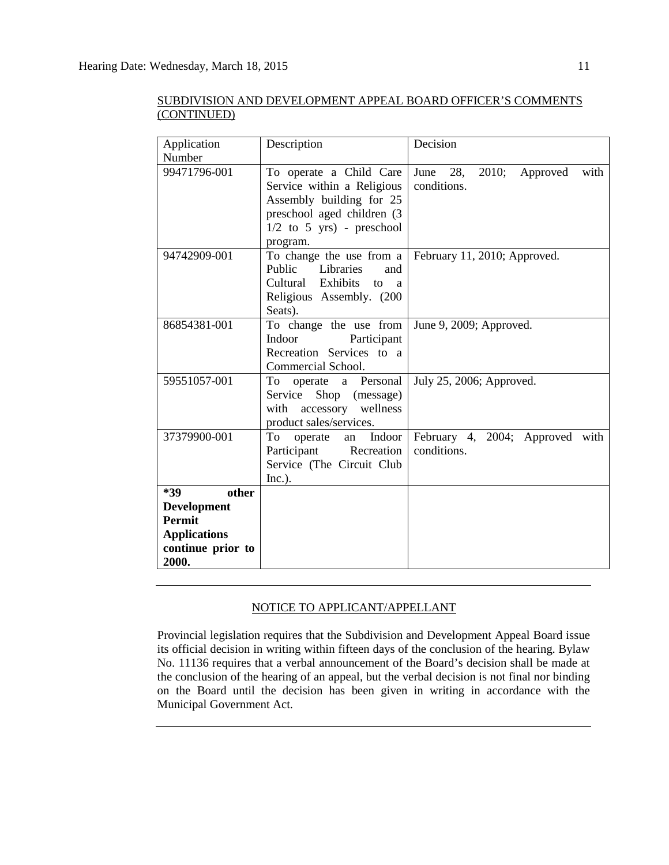| Application<br>Number               | Description                                                                                                                                                | Decision                                       |
|-------------------------------------|------------------------------------------------------------------------------------------------------------------------------------------------------------|------------------------------------------------|
| 99471796-001                        | To operate a Child Care<br>Service within a Religious<br>Assembly building for 25<br>preschool aged children (3<br>$1/2$ to 5 yrs) - preschool<br>program. | June 28, 2010;<br>Approved with<br>conditions. |
| 94742909-001                        | To change the use from a<br>Public Libraries<br>and<br>Cultural Exhibits to a<br>Religious Assembly. (200<br>Seats).                                       | February 11, 2010; Approved.                   |
| 86854381-001                        | To change the use from<br>Indoor<br>Participant<br>Recreation Services to a<br>Commercial School.                                                          | June 9, 2009; Approved.                        |
| 59551057-001                        | To<br>operate a Personal<br>Service Shop (message)<br>with accessory wellness<br>product sales/services.                                                   | July 25, 2006; Approved.                       |
| 37379900-001                        | To<br>Indoor<br>operate an<br>Participant Recreation<br>Service (The Circuit Club<br>Inc.).                                                                | February 4, 2004; Approved with<br>conditions. |
| *39<br>other                        |                                                                                                                                                            |                                                |
| <b>Development</b><br><b>Permit</b> |                                                                                                                                                            |                                                |
| <b>Applications</b>                 |                                                                                                                                                            |                                                |
| continue prior to<br>2000.          |                                                                                                                                                            |                                                |

# NOTICE TO APPLICANT/APPELLANT

Provincial legislation requires that the Subdivision and Development Appeal Board issue its official decision in writing within fifteen days of the conclusion of the hearing. Bylaw No. 11136 requires that a verbal announcement of the Board's decision shall be made at the conclusion of the hearing of an appeal, but the verbal decision is not final nor binding on the Board until the decision has been given in writing in accordance with the Municipal Government Act.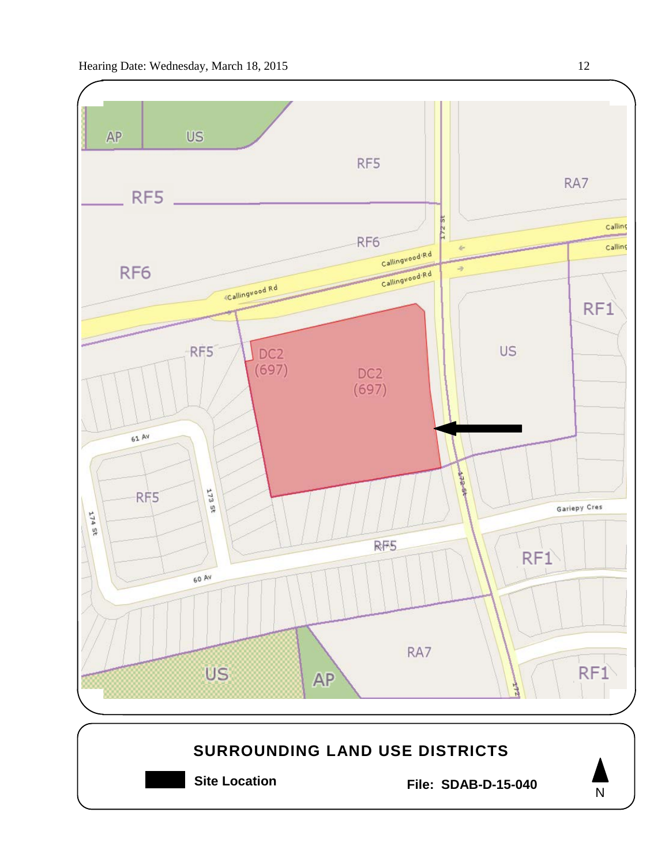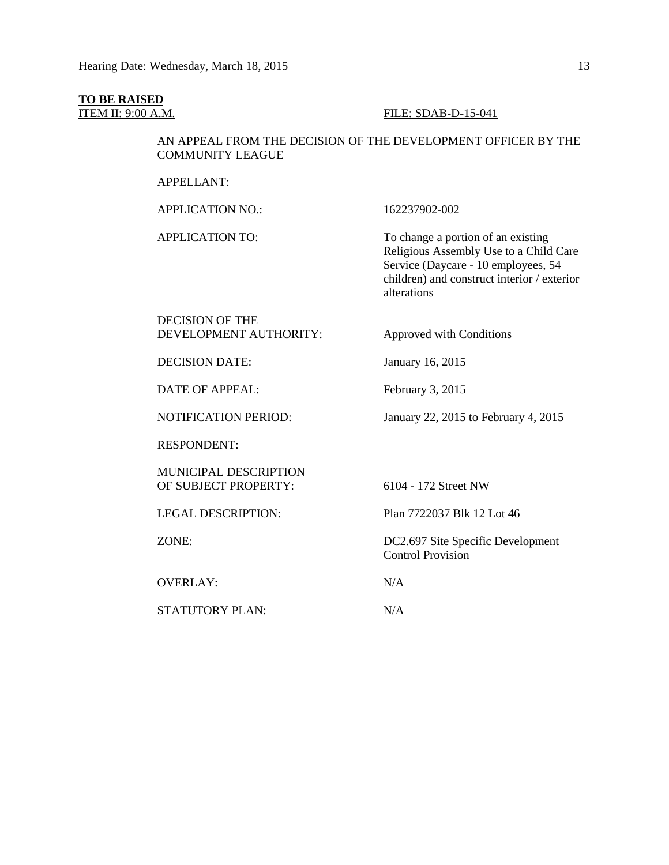# **TO BE RAISED**

### **ITEM II: 9:00 A.M. FILE: SDAB-D-15-041**

# AN APPEAL FROM THE DECISION OF THE DEVELOPMENT OFFICER BY THE COMMUNITY LEAGUE

APPELLANT:

APPLICATION NO.: 162237902-002

APPLICATION TO: To change a portion of an existing Religious Assembly Use to a Child Care Service (Daycare - 10 employees, 54 children) and construct interior / exterior alterations

# DECISION OF THE DEVELOPMENT AUTHORITY: Approved with Conditions

DECISION DATE: January 16, 2015

DATE OF APPEAL: February 3, 2015

NOTIFICATION PERIOD: January 22, 2015 to February 4, 2015

RESPONDENT:

MUNICIPAL DESCRIPTION OF SUBJECT PROPERTY: 6104 - 172 Street NW

LEGAL DESCRIPTION: Plan 7722037 Blk 12 Lot 46

ZONE: DC2.697 Site Specific Development Control Provision

OVERLAY: N/A

STATUTORY PLAN: N/A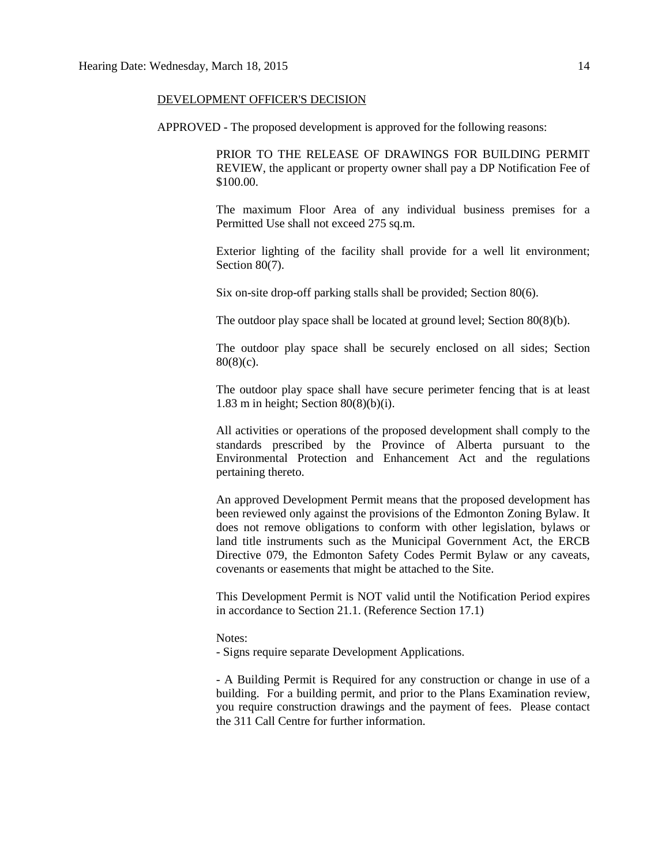#### DEVELOPMENT OFFICER'S DECISION

APPROVED - The proposed development is approved for the following reasons:

PRIOR TO THE RELEASE OF DRAWINGS FOR BUILDING PERMIT REVIEW, the applicant or property owner shall pay a DP Notification Fee of \$100.00.

The maximum Floor Area of any individual business premises for a Permitted Use shall not exceed 275 sq.m.

Exterior lighting of the facility shall provide for a well lit environment; Section 80(7).

Six on-site drop-off parking stalls shall be provided; Section 80(6).

The outdoor play space shall be located at ground level; Section 80(8)(b).

The outdoor play space shall be securely enclosed on all sides; Section  $80(8)(c)$ .

The outdoor play space shall have secure perimeter fencing that is at least 1.83 m in height; Section 80(8)(b)(i).

All activities or operations of the proposed development shall comply to the standards prescribed by the Province of Alberta pursuant to the Environmental Protection and Enhancement Act and the regulations pertaining thereto.

An approved Development Permit means that the proposed development has been reviewed only against the provisions of the Edmonton Zoning Bylaw. It does not remove obligations to conform with other legislation, bylaws or land title instruments such as the Municipal Government Act, the ERCB Directive 079, the Edmonton Safety Codes Permit Bylaw or any caveats, covenants or easements that might be attached to the Site.

This Development Permit is NOT valid until the Notification Period expires in accordance to Section 21.1. (Reference Section 17.1)

#### Notes:

- Signs require separate Development Applications.

- A Building Permit is Required for any construction or change in use of a building. For a building permit, and prior to the Plans Examination review, you require construction drawings and the payment of fees. Please contact the 311 Call Centre for further information.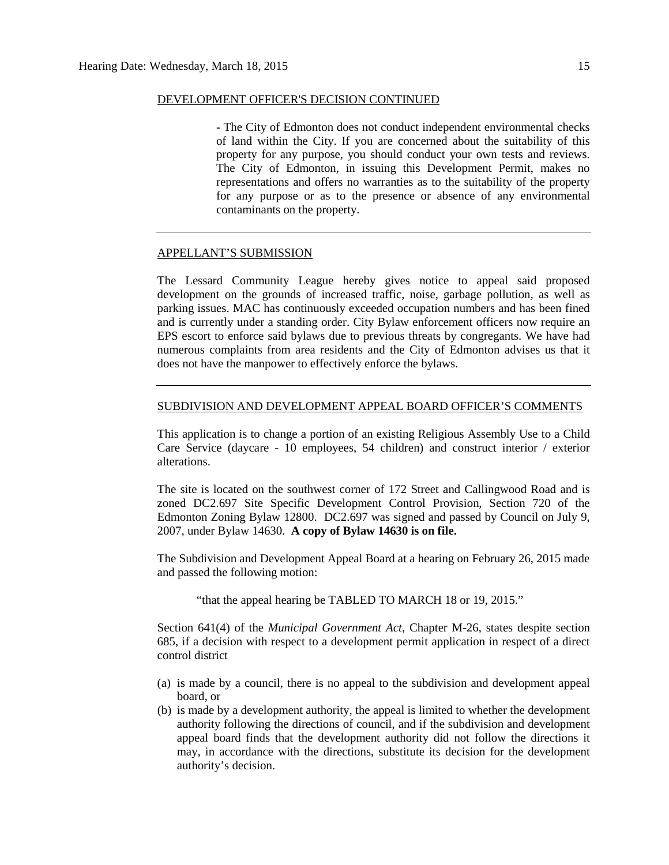#### DEVELOPMENT OFFICER'S DECISION CONTINUED

- The City of Edmonton does not conduct independent environmental checks of land within the City. If you are concerned about the suitability of this property for any purpose, you should conduct your own tests and reviews. The City of Edmonton, in issuing this Development Permit, makes no representations and offers no warranties as to the suitability of the property for any purpose or as to the presence or absence of any environmental contaminants on the property.

#### APPELLANT'S SUBMISSION

The Lessard Community League hereby gives notice to appeal said proposed development on the grounds of increased traffic, noise, garbage pollution, as well as parking issues. MAC has continuously exceeded occupation numbers and has been fined and is currently under a standing order. City Bylaw enforcement officers now require an EPS escort to enforce said bylaws due to previous threats by congregants. We have had numerous complaints from area residents and the City of Edmonton advises us that it does not have the manpower to effectively enforce the bylaws.

#### SUBDIVISION AND DEVELOPMENT APPEAL BOARD OFFICER'S COMMENTS

This application is to change a portion of an existing Religious Assembly Use to a Child Care Service (daycare - 10 employees, 54 children) and construct interior / exterior alterations.

The site is located on the southwest corner of 172 Street and Callingwood Road and is zoned DC2.697 Site Specific Development Control Provision, Section 720 of the Edmonton Zoning Bylaw 12800. DC2.697 was signed and passed by Council on July 9, 2007, under Bylaw 14630. **A copy of Bylaw 14630 is on file.**

The Subdivision and Development Appeal Board at a hearing on February 26, 2015 made and passed the following motion:

"that the appeal hearing be TABLED TO MARCH 18 or 19, 2015."

Section 641(4) of the *Municipal Government Act*, Chapter M-26, states despite section 685, if a decision with respect to a development permit application in respect of a direct control district

- (a) is made by a council, there is no appeal to the subdivision and development appeal board, or
- (b) is made by a development authority, the appeal is limited to whether the development authority following the directions of council, and if the subdivision and development appeal board finds that the development authority did not follow the directions it may, in accordance with the directions, substitute its decision for the development authority's decision.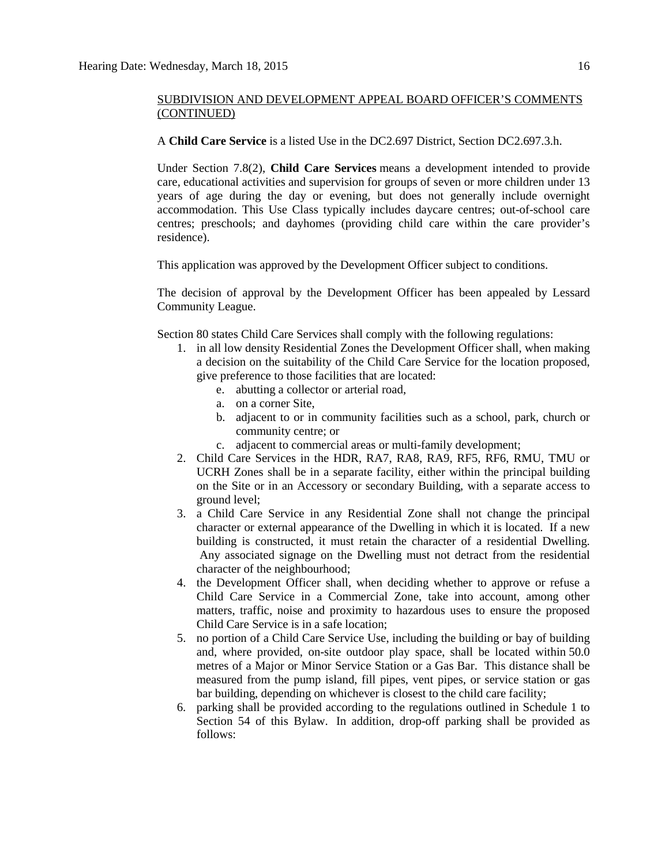A **Child Care Service** is a listed Use in the DC2.697 District, Section DC2.697.3.h.

Under Section 7.8(2), **Child Care Services** means a development intended to provide care, educational activities and supervision for groups of seven or more children under 13 years of age during the day or evening, but does not generally include overnight accommodation. This Use Class typically includes daycare centres; out-of-school care centres; preschools; and dayhomes (providing child care within the care provider's residence).

This application was approved by the Development Officer subject to conditions.

The decision of approval by the Development Officer has been appealed by Lessard Community League.

Section 80 state[s Child Care Services](javascript:void(0);) shall comply with the following regulations:

- 1. in all low density Residential Zones the Development Officer shall, when making a decision on the suitability of the Child Care Service for the location proposed, give preference to those facilities that are located:
	- e. abutting a collector or arterial road,
	- a. on a corner Site,
	- b. adjacent to or in community facilities such as a school, park, church or community centre; or
	- c. adjacent to commercial areas or multi-family development;
- 2. Child Care Services in the HDR, RA7, RA8, RA9, RF5, RF6, RMU, TMU or UCRH Zones shall be in a separate facility, either within the principal building on the Site or in an Accessory or secondary Building, with a separate access to ground level;
- 3. a Child Care Service in any Residential Zone shall not change the principal character or external appearance of the Dwelling in which it is located. If a new building is constructed, it must retain the character of a residential Dwelling. Any associated signage on the Dwelling must not detract from the residential character of the neighbourhood;
- 4. the Development Officer shall, when deciding whether to approve or refuse a Child Care Service in a Commercial Zone, take into account, among other matters, traffic, noise and proximity to hazardous uses to ensure the proposed Child Care Service is in a safe location;
- 5. no portion of a Child Care Service Use, including the building or bay of building and, where provided, on-site outdoor play space, shall be located within 50.0 metres of a Major or Minor Service Station or a Gas Bar. This distance shall be measured from the pump island, fill pipes, vent pipes, or service station or gas bar building, depending on whichever is closest to the child care facility;
- 6. parking shall be provided according to the regulations outlined in Schedule 1 to Section 54 of this Bylaw. In addition, drop-off parking shall be provided as follows: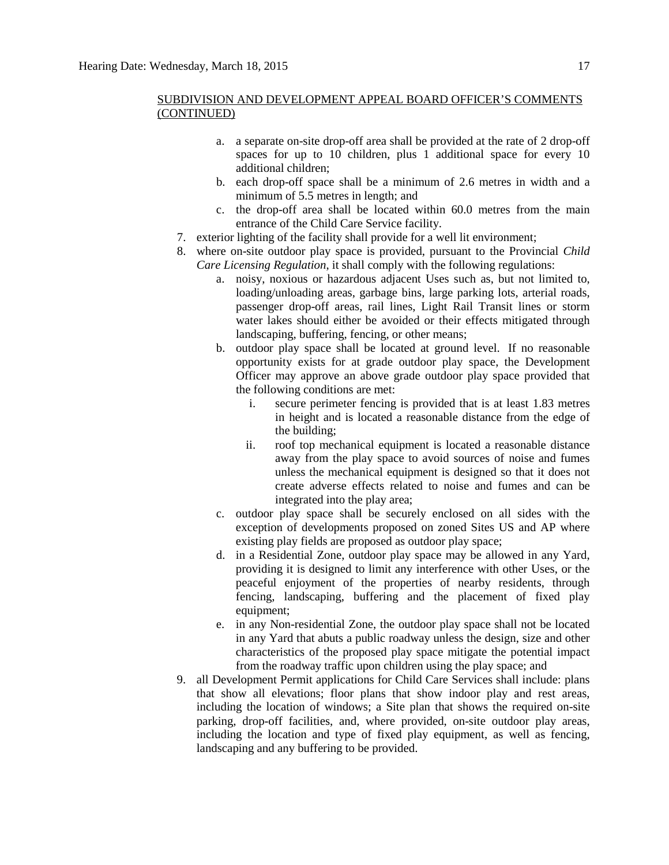- a. a separate on-site drop-off area shall be provided at the rate of 2 drop-off spaces for up to 10 children, plus 1 additional space for every 10 additional children;
- b. each drop-off space shall be a minimum of 2.6 metres in width and a minimum of 5.5 metres in length; and
- c. the drop-off area shall be located within 60.0 metres from the main entrance of the Child Care Service facility.
- 7. exterior lighting of the facility shall provide for a well lit environment;
- 8. where on-site outdoor play space is provided, pursuant to the Provincial *Child Care Licensing Regulation*, it shall comply with the following regulations:
	- a. noisy, noxious or hazardous adjacent Uses such as, but not limited to, loading/unloading areas, garbage bins, large parking lots, arterial roads, passenger drop-off areas, rail lines, Light Rail Transit lines or storm water lakes should either be avoided or their effects mitigated through landscaping, buffering, fencing, or other means;
	- b. outdoor play space shall be located at ground level. If no reasonable opportunity exists for at grade outdoor play space, the Development Officer may approve an above grade outdoor play space provided that the following conditions are met:
		- i. secure perimeter fencing is provided that is at least 1.83 metres in height and is located a reasonable distance from the edge of the building;
		- ii. roof top mechanical equipment is located a reasonable distance away from the play space to avoid sources of noise and fumes unless the mechanical equipment is designed so that it does not create adverse effects related to noise and fumes and can be integrated into the play area;
	- c. outdoor play space shall be securely enclosed on all sides with the exception of developments proposed on zoned Sites US and AP where existing play fields are proposed as outdoor play space;
	- d. in a Residential Zone, outdoor play space may be allowed in any Yard, providing it is designed to limit any interference with other Uses, or the peaceful enjoyment of the properties of nearby residents, through fencing, landscaping, buffering and the placement of fixed play equipment;
	- e. in any Non-residential Zone, the outdoor play space shall not be located in any Yard that abuts a public roadway unless the design, size and other characteristics of the proposed play space mitigate the potential impact from the roadway traffic upon children using the play space; and
- 9. all Development Permit applications for Child Care Services shall include: plans that show all elevations; floor plans that show indoor play and rest areas, including the location of windows; a Site plan that shows the required on-site parking, drop-off facilities, and, where provided, on-site outdoor play areas, including the location and type of fixed play equipment, as well as fencing. landscaping and any buffering to be provided.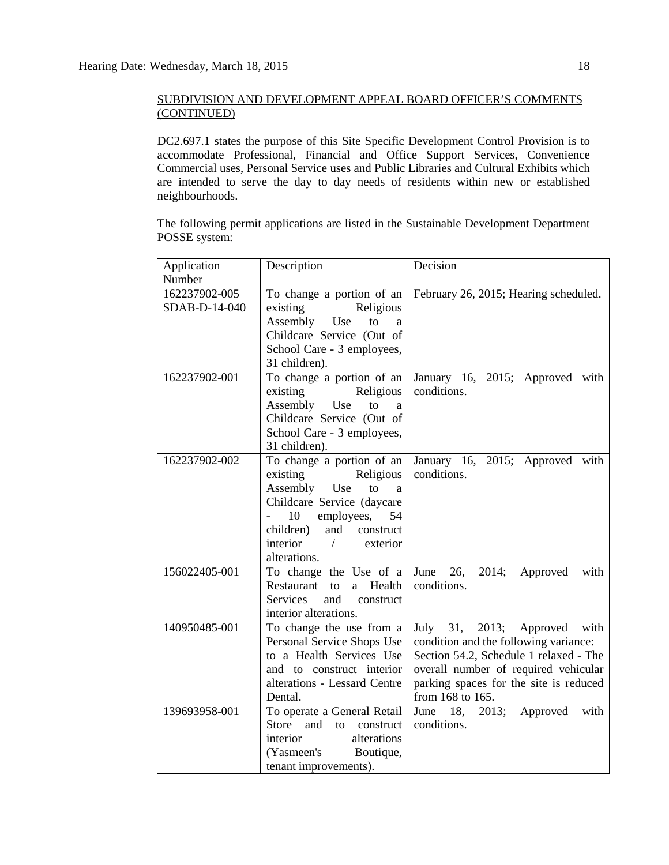DC2.697.1 states the purpose of this Site Specific Development Control Provision is to accommodate Professional, Financial and Office Support Services, Convenience Commercial uses, Personal Service uses and Public Libraries and Cultural Exhibits which are intended to serve the day to day needs of residents within new or established neighbourhoods.

The following permit applications are listed in the Sustainable Development Department POSSE system:

| Application   | Description                     | Decision                                      |
|---------------|---------------------------------|-----------------------------------------------|
| Number        |                                 |                                               |
| 162237902-005 | To change a portion of an       | February 26, 2015; Hearing scheduled.         |
| SDAB-D-14-040 | existing<br>Religious           |                                               |
|               | Assembly Use<br>to<br>a         |                                               |
|               | Childcare Service (Out of       |                                               |
|               | School Care - 3 employees,      |                                               |
|               | 31 children).                   |                                               |
| 162237902-001 | To change a portion of an       | January 16, 2015; Approved with               |
|               | existing<br>Religious           | conditions.                                   |
|               | Assembly Use<br>to<br>a         |                                               |
|               | Childcare Service (Out of       |                                               |
|               | School Care - 3 employees,      |                                               |
|               | 31 children).                   |                                               |
| 162237902-002 | To change a portion of an       | January 16, 2015; Approved with               |
|               | Religious<br>existing           | conditions.                                   |
|               | Assembly Use<br>to<br>a         |                                               |
|               | Childcare Service (daycare      |                                               |
|               | 10<br>employees,<br>54          |                                               |
|               | and construct<br>children)      |                                               |
|               | interior / exterior             |                                               |
|               | alterations.                    |                                               |
| 156022405-001 | To change the Use of a          | June 26, 2014; Approved<br>with               |
|               | Restaurant to<br>a Health       | conditions.                                   |
|               | and<br>Services<br>construct    |                                               |
|               | interior alterations.           |                                               |
| 140950485-001 | To change the use from a        | July $\overline{31}$ , 2013; Approved<br>with |
|               | Personal Service Shops Use      | condition and the following variance:         |
|               | to a Health Services Use        | Section 54.2, Schedule 1 relaxed - The        |
|               | and to construct interior       | overall number of required vehicular          |
|               | alterations - Lessard Centre    | parking spaces for the site is reduced        |
|               | Dental.                         | from 168 to 165.                              |
| 139693958-001 | To operate a General Retail     | June 18, 2013; Approved<br>with               |
|               | and<br>Store<br>to<br>construct | conditions.                                   |
|               | alterations<br>interior         |                                               |
|               | (Yasmeen's Boutique,            |                                               |
|               | tenant improvements).           |                                               |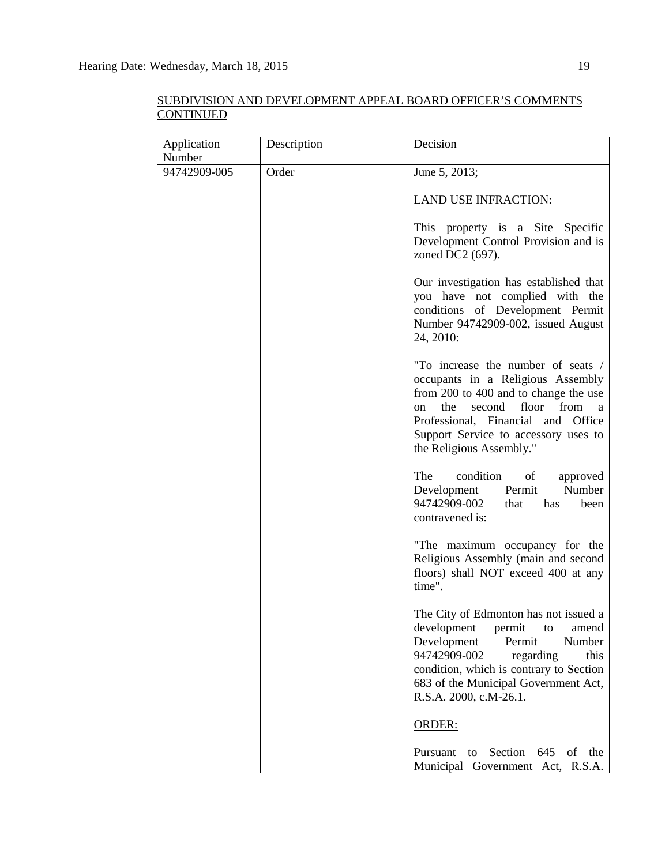| Application  | Description | Decision                                                                                                                                                                                                                                                                |
|--------------|-------------|-------------------------------------------------------------------------------------------------------------------------------------------------------------------------------------------------------------------------------------------------------------------------|
| Number       |             |                                                                                                                                                                                                                                                                         |
| 94742909-005 | Order       | June 5, 2013;                                                                                                                                                                                                                                                           |
|              |             | <b>LAND USE INFRACTION:</b>                                                                                                                                                                                                                                             |
|              |             | This property is a Site Specific<br>Development Control Provision and is<br>zoned DC2 (697).                                                                                                                                                                            |
|              |             | Our investigation has established that<br>you have not complied with the<br>conditions of Development Permit<br>Number 94742909-002, issued August<br>24, 2010:                                                                                                         |
|              |             | "To increase the number of seats /<br>occupants in a Religious Assembly<br>from 200 to 400 and to change the use<br>the<br>second<br>floor<br>from<br>on<br>a<br>Professional, Financial and Office<br>Support Service to accessory uses to<br>the Religious Assembly." |
|              |             | The<br>condition<br>of<br>approved<br>Development Permit<br>Number<br>94742909-002<br>that<br>has<br>been<br>contravened is:                                                                                                                                            |
|              |             | "The maximum occupancy for the<br>Religious Assembly (main and second<br>floors) shall NOT exceed 400 at any<br>time".                                                                                                                                                  |
|              |             | The City of Edmonton has not issued a<br>development permit to<br>amend<br>Development<br>Permit<br>Number<br>94742909-002<br>regarding<br>this<br>condition, which is contrary to Section<br>683 of the Municipal Government Act,<br>R.S.A. 2000, c.M-26.1.            |
|              |             | <b>ORDER:</b>                                                                                                                                                                                                                                                           |
|              |             | Pursuant<br>Section<br>645<br>of<br>to<br>the<br>Municipal Government Act, R.S.A.                                                                                                                                                                                       |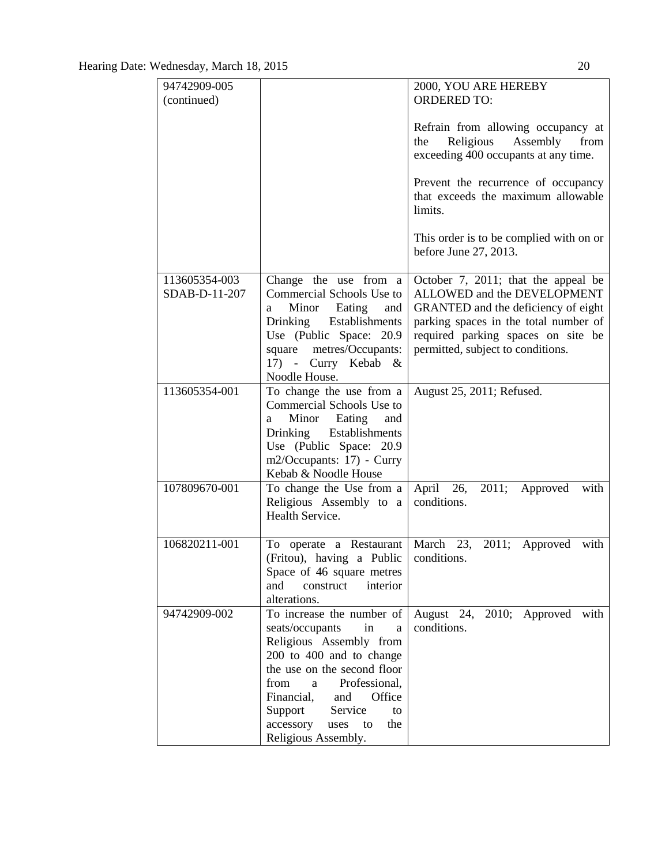| 94742909-005                   |                                                                                                                                                                                                                                                                                              | 2000, YOU ARE HEREBY                                                                                                                                                                                                                               |
|--------------------------------|----------------------------------------------------------------------------------------------------------------------------------------------------------------------------------------------------------------------------------------------------------------------------------------------|----------------------------------------------------------------------------------------------------------------------------------------------------------------------------------------------------------------------------------------------------|
| (continued)                    |                                                                                                                                                                                                                                                                                              | <b>ORDERED TO:</b>                                                                                                                                                                                                                                 |
|                                |                                                                                                                                                                                                                                                                                              | Refrain from allowing occupancy at<br>Religious Assembly<br>from<br>the<br>exceeding 400 occupants at any time.<br>Prevent the recurrence of occupancy<br>that exceeds the maximum allowable<br>limits.<br>This order is to be complied with on or |
|                                |                                                                                                                                                                                                                                                                                              | before June 27, 2013.                                                                                                                                                                                                                              |
|                                |                                                                                                                                                                                                                                                                                              |                                                                                                                                                                                                                                                    |
| 113605354-003<br>SDAB-D-11-207 | Change the use from a<br>Commercial Schools Use to<br>Minor Eating<br>and<br>a<br>Drinking Establishments<br>Use (Public Space: 20.9)<br>square metres/Occupants:<br>17) - Curry Kebab &<br>Noodle House.                                                                                    | October 7, 2011; that the appeal be<br>ALLOWED and the DEVELOPMENT<br>GRANTED and the deficiency of eight<br>parking spaces in the total number of<br>required parking spaces on site be<br>permitted, subject to conditions.                      |
| 113605354-001                  | To change the use from a<br>Commercial Schools Use to<br>Minor Eating<br>and<br>a<br>Drinking Establishments<br>Use (Public Space: 20.9)<br>m2/Occupants: 17) - Curry<br>Kebab & Noodle House                                                                                                | August 25, 2011; Refused.                                                                                                                                                                                                                          |
| 107809670-001                  | To change the Use from a<br>Religious Assembly to a<br>Health Service.                                                                                                                                                                                                                       | 26,<br>April<br>2011;<br>Approved<br>with<br>conditions.                                                                                                                                                                                           |
| 106820211-001                  | To operate a Restaurant<br>(Fritou), having a Public<br>Space of 46 square metres<br>and<br>interior<br>construct<br>alterations.                                                                                                                                                            | March 23,<br>2011; Approved<br>with<br>conditions.                                                                                                                                                                                                 |
| 94742909-002                   | To increase the number of<br>seats/occupants<br>in<br>a<br>Religious Assembly from<br>200 to 400 and to change<br>the use on the second floor<br>from<br>Professional,<br>a<br>Financial,<br>Office<br>and<br>Support<br>Service<br>to<br>accessory<br>uses to<br>the<br>Religious Assembly. | August 24, 2010; Approved with<br>conditions.                                                                                                                                                                                                      |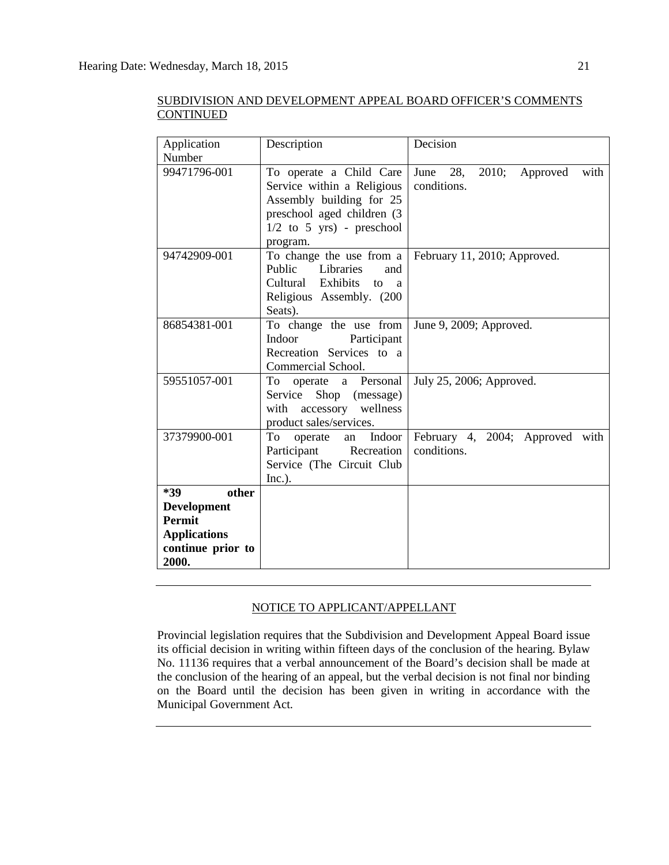| Application<br>Number      | Description                                                                                                                                                | Decision                                       |
|----------------------------|------------------------------------------------------------------------------------------------------------------------------------------------------------|------------------------------------------------|
| 99471796-001               | To operate a Child Care<br>Service within a Religious<br>Assembly building for 25<br>preschool aged children (3<br>$1/2$ to 5 yrs) - preschool<br>program. | June 28, 2010;<br>Approved with<br>conditions. |
| 94742909-001               | To change the use from a<br>Public<br>Libraries<br>and<br>Cultural Exhibits to a<br>Religious Assembly. (200<br>Seats).                                    | February 11, 2010; Approved.                   |
| 86854381-001               | To change the use from<br>Indoor<br>Participant<br>Recreation Services to a<br>Commercial School.                                                          | June 9, 2009; Approved.                        |
| 59551057-001               | To<br>operate a Personal<br>Service Shop (message)<br>with accessory wellness<br>product sales/services.                                                   | July 25, 2006; Approved.                       |
| 37379900-001               | To<br>Indoor<br>operate<br>an<br>Participant<br>Recreation<br>Service (The Circuit Club<br>Inc.).                                                          | February 4, 2004; Approved with<br>conditions. |
| *39<br>other               |                                                                                                                                                            |                                                |
| <b>Development</b>         |                                                                                                                                                            |                                                |
| <b>Permit</b>              |                                                                                                                                                            |                                                |
| <b>Applications</b>        |                                                                                                                                                            |                                                |
| continue prior to<br>2000. |                                                                                                                                                            |                                                |

# NOTICE TO APPLICANT/APPELLANT

Provincial legislation requires that the Subdivision and Development Appeal Board issue its official decision in writing within fifteen days of the conclusion of the hearing. Bylaw No. 11136 requires that a verbal announcement of the Board's decision shall be made at the conclusion of the hearing of an appeal, but the verbal decision is not final nor binding on the Board until the decision has been given in writing in accordance with the Municipal Government Act.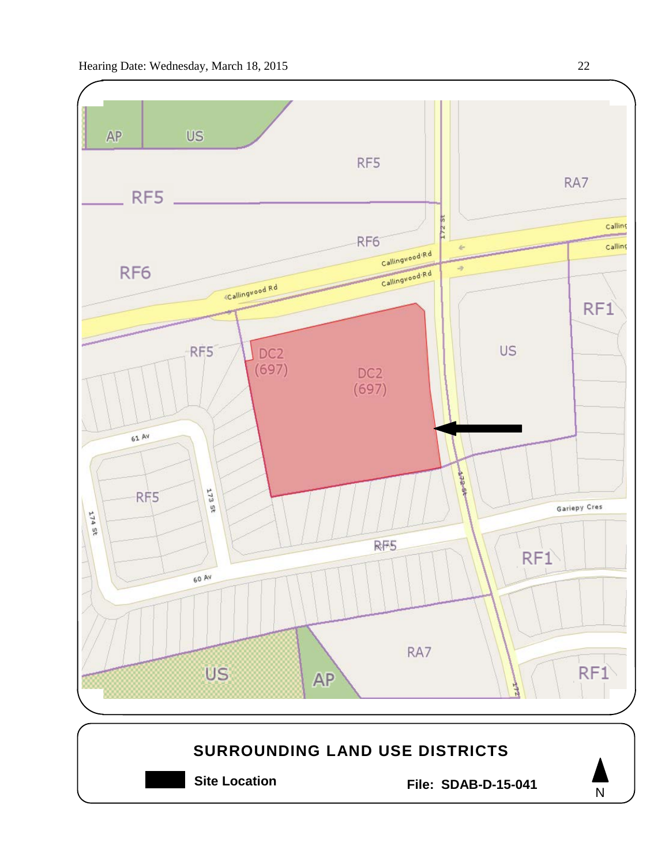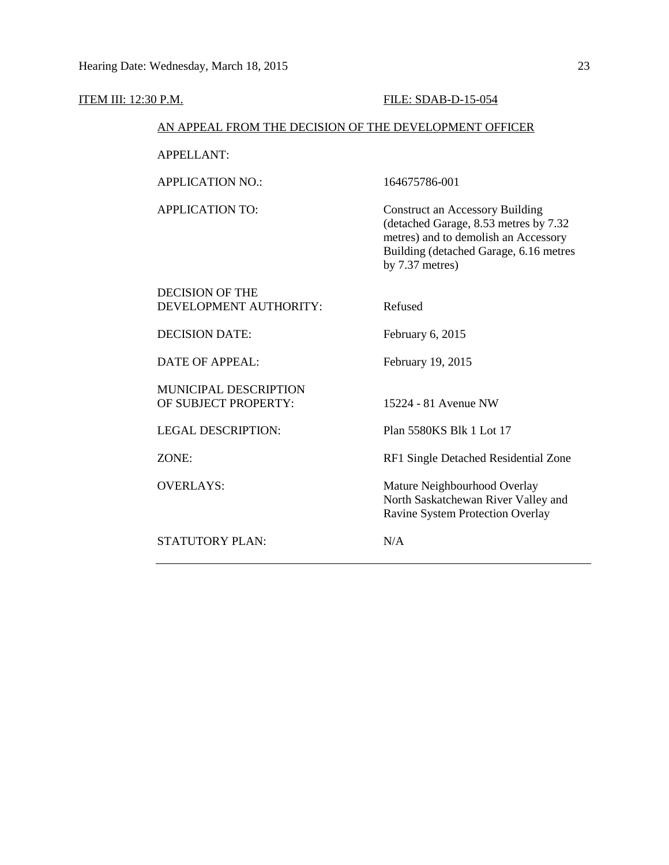#### ITEM III: 12:30 P.M. FILE: SDAB-D-15-054

## AN APPEAL FROM THE DECISION OF THE DEVELOPMENT OFFICER

APPELLANT:

APPLICATION NO.: 164675786-001

APPLICATION TO: Construct an Accessory Building (detached Garage, 8.53 metres by 7.32 metres) and to demolish an Accessory Building (detached Garage, 6.16 metres by 7.37 metres)

# DECISION OF THE DEVELOPMENT AUTHORITY: Refused DECISION DATE: February 6, 2015 DATE OF APPEAL: February 19, 2015 MUNICIPAL DESCRIPTION OF SUBJECT PROPERTY: 15224 - 81 Avenue NW LEGAL DESCRIPTION: Plan 5580KS Blk 1 Lot 17 ZONE: RF1 Single Detached Residential Zone OVERLAYS: Mature Neighbourhood Overlay North Saskatchewan River Valley and Ravine System Protection Overlay STATUTORY PLAN: N/A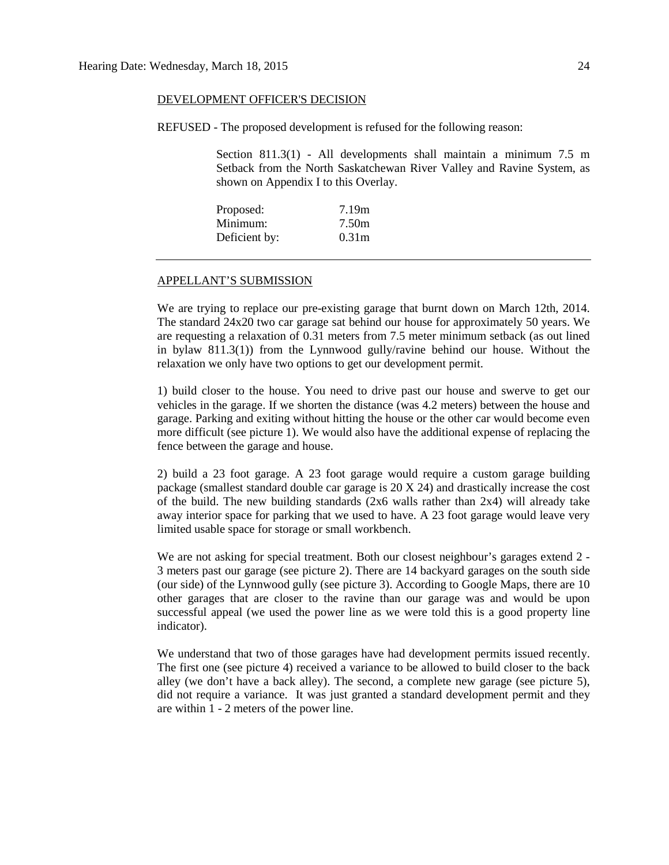#### DEVELOPMENT OFFICER'S DECISION

REFUSED - The proposed development is refused for the following reason:

Section 811.3(1) - All developments shall maintain a minimum 7.5 m Setback from the North Saskatchewan River Valley and Ravine System, as shown on Appendix I to this Overlay.

| Proposed:     | 7.19m             |
|---------------|-------------------|
| Minimum:      | 7.50m             |
| Deficient by: | 0.31 <sub>m</sub> |

#### APPELLANT'S SUBMISSION

We are trying to replace our pre-existing garage that burnt down on March 12th, 2014. The standard 24x20 two car garage sat behind our house for approximately 50 years. We are requesting a relaxation of 0.31 meters from 7.5 meter minimum setback (as out lined in bylaw 811.3(1)) from the Lynnwood gully/ravine behind our house. Without the relaxation we only have two options to get our development permit.

1) build closer to the house. You need to drive past our house and swerve to get our vehicles in the garage. If we shorten the distance (was 4.2 meters) between the house and garage. Parking and exiting without hitting the house or the other car would become even more difficult (see picture 1). We would also have the additional expense of replacing the fence between the garage and house.

2) build a 23 foot garage. A 23 foot garage would require a custom garage building package (smallest standard double car garage is 20 X 24) and drastically increase the cost of the build. The new building standards  $(2x6 \text{ walls rather than } 2x4)$  will already take away interior space for parking that we used to have. A 23 foot garage would leave very limited usable space for storage or small workbench.

We are not asking for special treatment. Both our closest neighbour's garages extend 2 -3 meters past our garage (see picture 2). There are 14 backyard garages on the south side (our side) of the Lynnwood gully (see picture 3). According to Google Maps, there are 10 other garages that are closer to the ravine than our garage was and would be upon successful appeal (we used the power line as we were told this is a good property line indicator).

We understand that two of those garages have had development permits issued recently. The first one (see picture 4) received a variance to be allowed to build closer to the back alley (we don't have a back alley). The second, a complete new garage (see picture 5), did not require a variance. It was just granted a standard development permit and they are within 1 - 2 meters of the power line.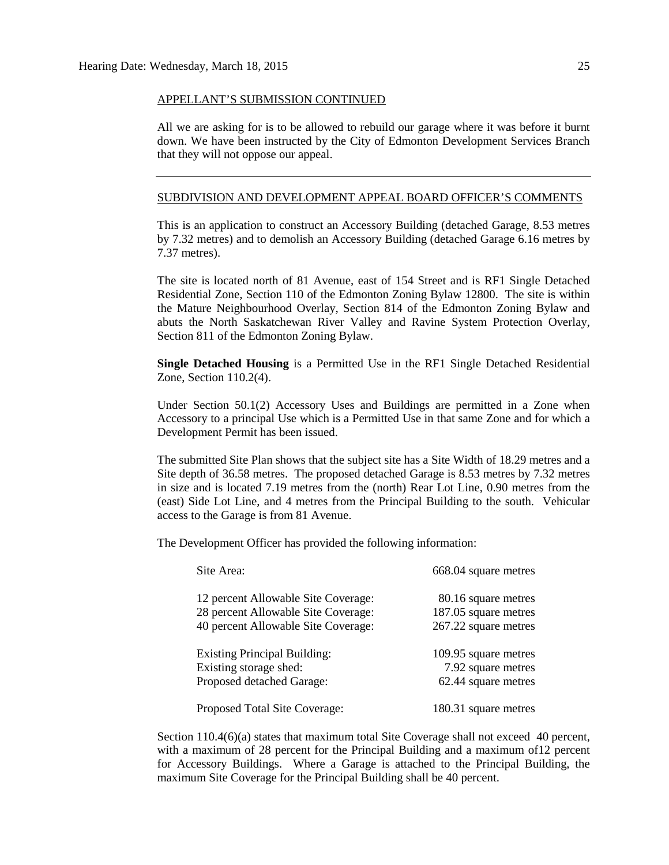#### APPELLANT'S SUBMISSION CONTINUED

All we are asking for is to be allowed to rebuild our garage where it was before it burnt down. We have been instructed by the City of Edmonton Development Services Branch that they will not oppose our appeal.

### SUBDIVISION AND DEVELOPMENT APPEAL BOARD OFFICER'S COMMENTS

This is an application to construct an Accessory Building (detached Garage, 8.53 metres by 7.32 metres) and to demolish an Accessory Building (detached Garage 6.16 metres by 7.37 metres).

The site is located north of 81 Avenue, east of 154 Street and is RF1 Single Detached Residential Zone, Section 110 of the Edmonton Zoning Bylaw 12800. The site is within the Mature Neighbourhood Overlay, Section 814 of the Edmonton Zoning Bylaw and abuts the North Saskatchewan River Valley and Ravine System Protection Overlay, Section 811 of the Edmonton Zoning Bylaw.

**Single Detached Housing** is a Permitted Use in the RF1 Single Detached Residential Zone, Section 110.2(4).

Under Section 50.1(2) Accessory Uses and Buildings are permitted in a Zone when Accessory to a principal Use which is a Permitted Use in that same Zone and for which a Development Permit has been issued.

The submitted Site Plan shows that the subject site has a Site Width of 18.29 metres and a Site depth of 36.58 metres. The proposed detached Garage is 8.53 metres by 7.32 metres in size and is located 7.19 metres from the (north) Rear Lot Line, 0.90 metres from the (east) Side Lot Line, and 4 metres from the Principal Building to the south. Vehicular access to the Garage is from 81 Avenue.

The Development Officer has provided the following information:

| Site Area:                          | 668.04 square metres |
|-------------------------------------|----------------------|
| 12 percent Allowable Site Coverage: | 80.16 square metres  |
| 28 percent Allowable Site Coverage: | 187.05 square metres |
| 40 percent Allowable Site Coverage: | 267.22 square metres |
| <b>Existing Principal Building:</b> | 109.95 square metres |
| Existing storage shed:              | 7.92 square metres   |
| Proposed detached Garage:           | 62.44 square metres  |
| Proposed Total Site Coverage:       | 180.31 square metres |

Section 110.4(6)(a) states that maximum total Site Coverage shall not exceed 40 percent, with a maximum of 28 percent for the Principal Building and a maximum of12 percent for Accessory Buildings. Where a Garage is attached to the Principal Building, the maximum Site Coverage for the Principal Building shall be 40 percent.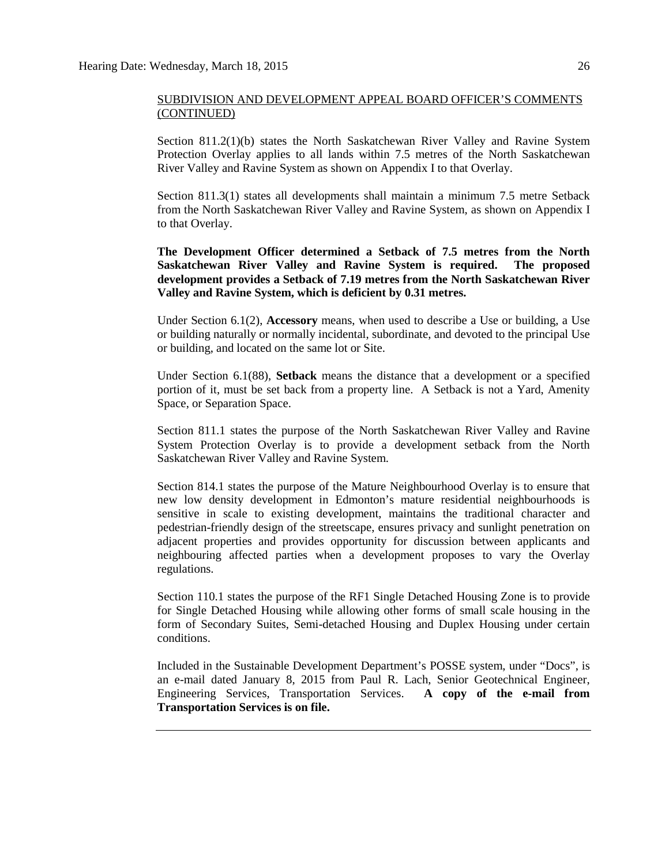Section 811.2(1)(b) states the North Saskatchewan River Valley and Ravine System Protection Overlay applies to all lands within 7.5 metres of the North Saskatchewan River Valley and Ravine System as shown on Appendix I to that Overlay.

Section 811.3(1) states all developments shall maintain a minimum 7.5 metre Setback from the North Saskatchewan River Valley and Ravine System, as shown on Appendix I to that Overlay.

**The Development Officer determined a Setback of 7.5 metres from the North Saskatchewan River Valley and Ravine System is required. The proposed development provides a Setback of 7.19 metres from the North Saskatchewan River Valley and Ravine System, which is deficient by 0.31 metres.**

Under Section 6.1(2), **Accessory** means, when used to describe a Use or building, a Use or building naturally or normally incidental, subordinate, and devoted to the principal Use or building, and located on the same lot or Site.

Under Section 6.1(88), **Setback** means the distance that a development or a specified portion of it, must be set back from a property line. A Setback is not a Yard, Amenity Space, or Separation Space.

Section 811.1 states the purpose of the North Saskatchewan River Valley and Ravine System Protection Overlay is to provide a development setback from the North Saskatchewan River Valley and Ravine System.

Section 814.1 states the purpose of the Mature Neighbourhood Overlay is to ensure that new low density development in Edmonton's mature residential neighbourhoods is sensitive in scale to existing development, maintains the traditional character and pedestrian-friendly design of the streetscape, ensures privacy and sunlight penetration on adjacent properties and provides opportunity for discussion between applicants and neighbouring affected parties when a development proposes to vary the Overlay regulations.

Section 110.1 states the purpose of the RF1 Single Detached Housing Zone is to provide for Single Detached Housing while allowing other forms of small scale housing in the form of Secondary Suites, Semi-detached Housing and Duplex Housing under certain conditions.

Included in the Sustainable Development Department's POSSE system, under "Docs", is an e-mail dated January 8, 2015 from Paul R. Lach, Senior Geotechnical Engineer, Engineering Services, Transportation Services. **A copy of the e-mail from Transportation Services is on file.**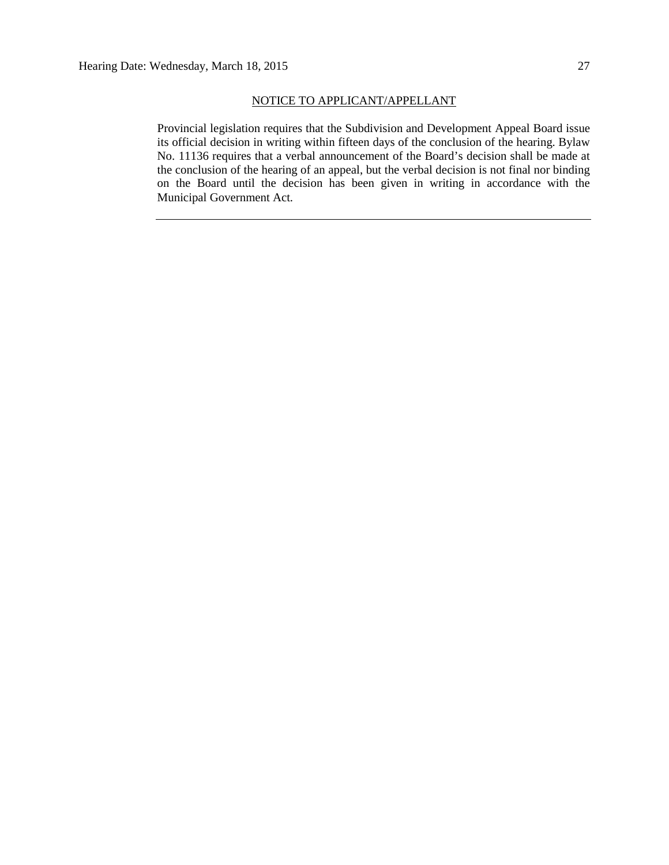#### NOTICE TO APPLICANT/APPELLANT

Provincial legislation requires that the Subdivision and Development Appeal Board issue its official decision in writing within fifteen days of the conclusion of the hearing. Bylaw No. 11136 requires that a verbal announcement of the Board's decision shall be made at the conclusion of the hearing of an appeal, but the verbal decision is not final nor binding on the Board until the decision has been given in writing in accordance with the Municipal Government Act.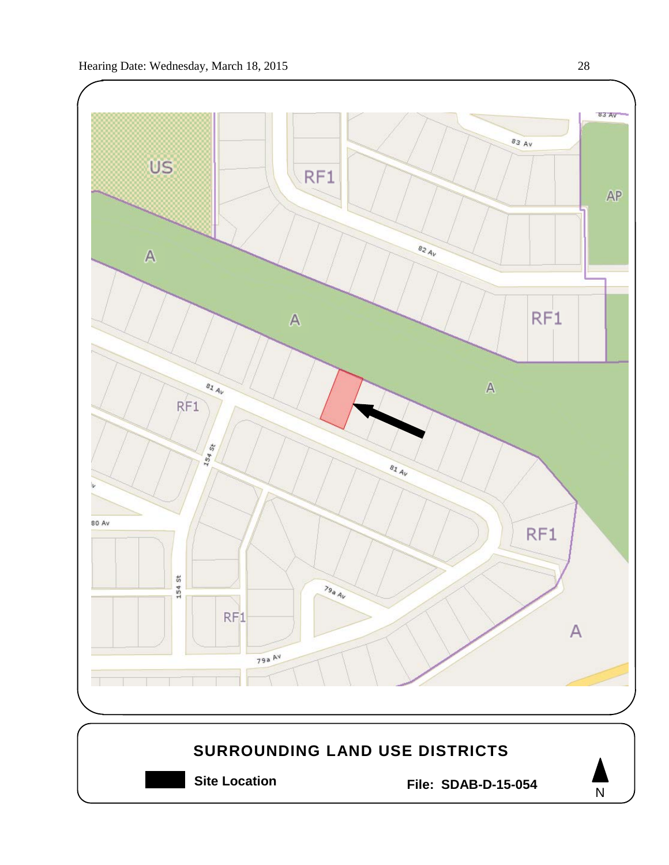

**Site Location File: SDAB-D-15-054**

N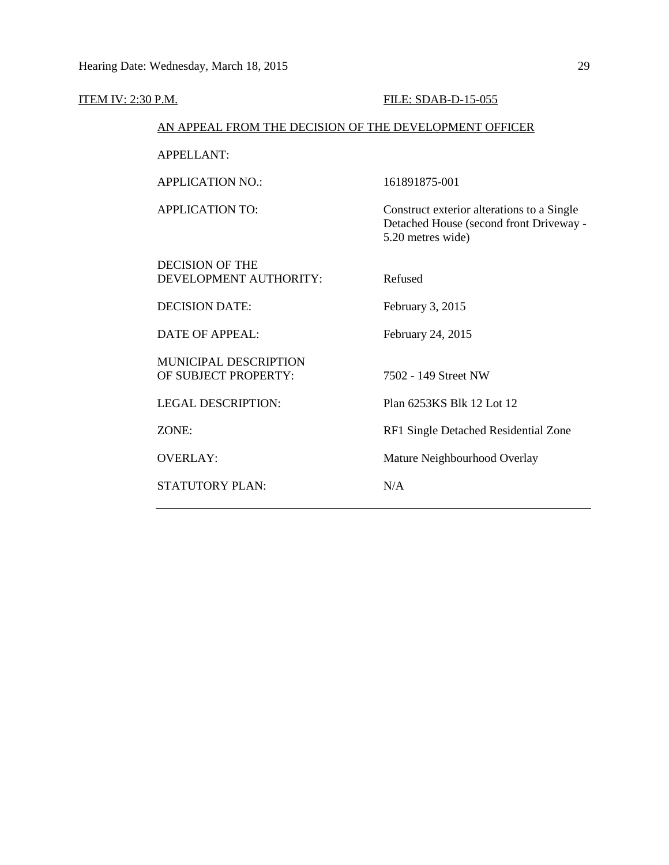| <b>ITEM IV: 2:30 P.M.</b> |                                                        | FILE: SDAB-D-15-055                                                                                        |
|---------------------------|--------------------------------------------------------|------------------------------------------------------------------------------------------------------------|
|                           | AN APPEAL FROM THE DECISION OF THE DEVELOPMENT OFFICER |                                                                                                            |
|                           | <b>APPELLANT:</b>                                      |                                                                                                            |
|                           | <b>APPLICATION NO.:</b>                                | 161891875-001                                                                                              |
|                           | <b>APPLICATION TO:</b>                                 | Construct exterior alterations to a Single<br>Detached House (second front Driveway -<br>5.20 metres wide) |
|                           | <b>DECISION OF THE</b><br>DEVELOPMENT AUTHORITY:       | Refused                                                                                                    |
|                           | <b>DECISION DATE:</b>                                  | February 3, 2015                                                                                           |
|                           | <b>DATE OF APPEAL:</b>                                 | February 24, 2015                                                                                          |
|                           | <b>MUNICIPAL DESCRIPTION</b><br>OF SUBJECT PROPERTY:   | 7502 - 149 Street NW                                                                                       |
|                           | <b>LEGAL DESCRIPTION:</b>                              | Plan 6253KS Blk 12 Lot 12                                                                                  |
|                           | ZONE:                                                  | RF1 Single Detached Residential Zone                                                                       |
|                           | <b>OVERLAY:</b>                                        | Mature Neighbourhood Overlay                                                                               |
|                           | <b>STATUTORY PLAN:</b>                                 | N/A                                                                                                        |
|                           |                                                        |                                                                                                            |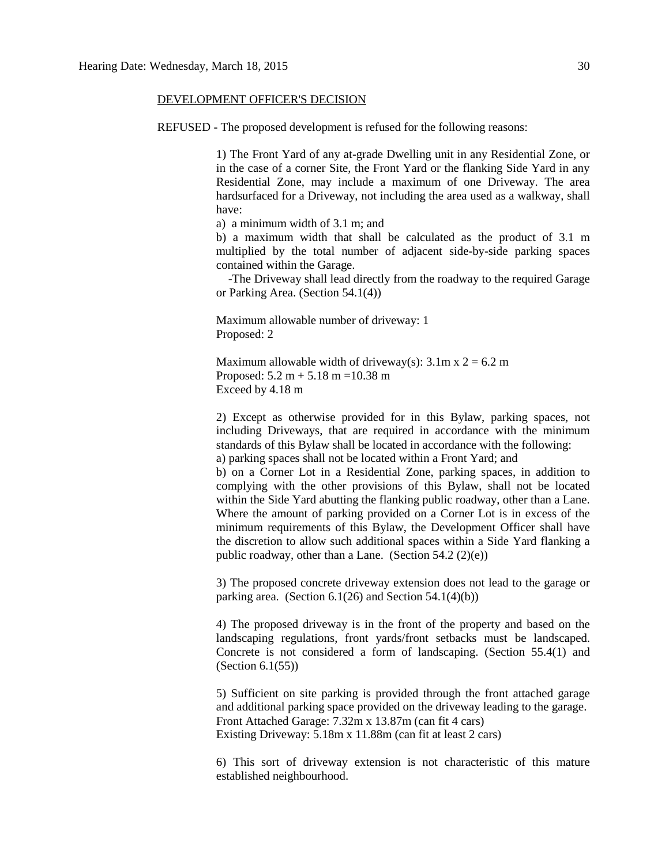#### DEVELOPMENT OFFICER'S DECISION

REFUSED - The proposed development is refused for the following reasons:

1) The Front Yard of any at-grade Dwelling unit in any Residential Zone, or in the case of a corner Site, the Front Yard or the flanking Side Yard in any Residential Zone, may include a maximum of one Driveway. The area hardsurfaced for a Driveway, not including the area used as a walkway, shall have:

a) a minimum width of 3.1 m; and

b) a maximum width that shall be calculated as the product of 3.1 m multiplied by the total number of adjacent side-by-side parking spaces contained within the Garage.

 -The Driveway shall lead directly from the roadway to the required Garage or Parking Area. (Section 54.1(4))

Maximum allowable number of driveway: 1 Proposed: 2

Maximum allowable width of driveway(s):  $3.1$ m x  $2 = 6.2$  m Proposed:  $5.2 m + 5.18 m = 10.38 m$ Exceed by 4.18 m

2) Except as otherwise provided for in this Bylaw, parking spaces, not including Driveways, that are required in accordance with the minimum standards of this Bylaw shall be located in accordance with the following: a) parking spaces shall not be located within a Front Yard; and

b) on a Corner Lot in a Residential Zone, parking spaces, in addition to complying with the other provisions of this Bylaw, shall not be located within the Side Yard abutting the flanking public roadway, other than a Lane. Where the amount of parking provided on a Corner Lot is in excess of the minimum requirements of this Bylaw, the Development Officer shall have the discretion to allow such additional spaces within a Side Yard flanking a public roadway, other than a Lane. (Section  $54.2$  (2)(e))

3) The proposed concrete driveway extension does not lead to the garage or parking area. (Section  $6.1(26)$  and Section  $54.1(4)(b)$ )

4) The proposed driveway is in the front of the property and based on the landscaping regulations, front yards/front setbacks must be landscaped. Concrete is not considered a form of landscaping. (Section 55.4(1) and (Section 6.1(55))

5) Sufficient on site parking is provided through the front attached garage and additional parking space provided on the driveway leading to the garage. Front Attached Garage: 7.32m x 13.87m (can fit 4 cars) Existing Driveway: 5.18m x 11.88m (can fit at least 2 cars)

6) This sort of driveway extension is not characteristic of this mature established neighbourhood.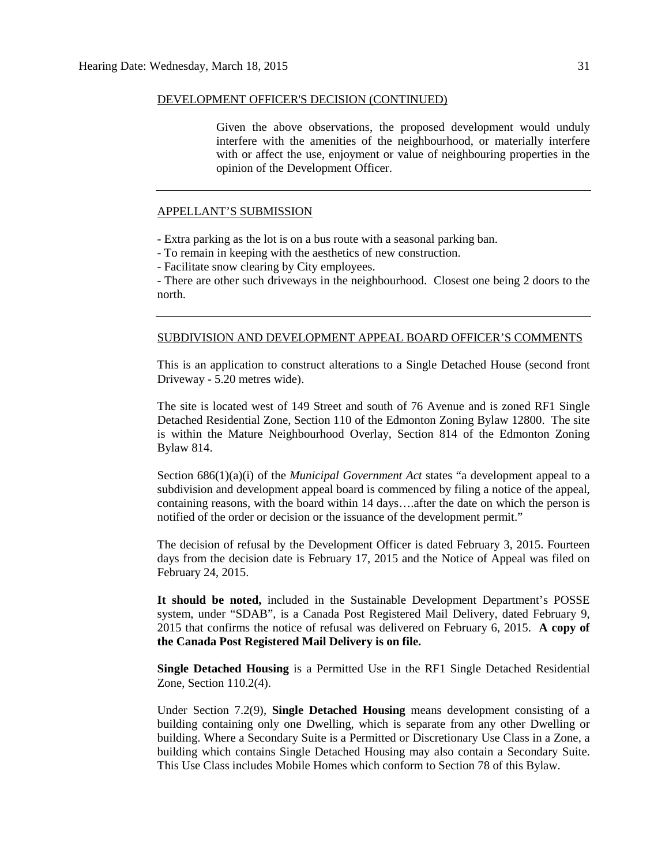#### DEVELOPMENT OFFICER'S DECISION (CONTINUED)

Given the above observations, the proposed development would unduly interfere with the amenities of the neighbourhood, or materially interfere with or affect the use, enjoyment or value of neighbouring properties in the opinion of the Development Officer.

#### APPELLANT'S SUBMISSION

- Extra parking as the lot is on a bus route with a seasonal parking ban.

- To remain in keeping with the aesthetics of new construction.

- Facilitate snow clearing by City employees.

- There are other such driveways in the neighbourhood. Closest one being 2 doors to the north.

#### SUBDIVISION AND DEVELOPMENT APPEAL BOARD OFFICER'S COMMENTS

This is an application to construct alterations to a Single Detached House (second front Driveway - 5.20 metres wide).

The site is located west of 149 Street and south of 76 Avenue and is zoned RF1 Single Detached Residential Zone, Section 110 of the Edmonton Zoning Bylaw 12800. The site is within the Mature Neighbourhood Overlay, Section 814 of the Edmonton Zoning Bylaw 814.

Section 686(1)(a)(i) of the *Municipal Government Act* states "a development appeal to a subdivision and development appeal board is commenced by filing a notice of the appeal, containing reasons, with the board within 14 days….after the date on which the person is notified of the order or decision or the issuance of the development permit."

The decision of refusal by the Development Officer is dated February 3, 2015. Fourteen days from the decision date is February 17, 2015 and the Notice of Appeal was filed on February 24, 2015.

**It should be noted,** included in the Sustainable Development Department's POSSE system, under "SDAB", is a Canada Post Registered Mail Delivery, dated February 9, 2015 that confirms the notice of refusal was delivered on February 6, 2015. **A copy of the Canada Post Registered Mail Delivery is on file.**

**Single Detached Housing** is a Permitted Use in the RF1 Single Detached Residential Zone, Section 110.2(4).

Under Section 7.2(9), **Single Detached Housing** means development consisting of a building containing only one Dwelling, which is separate from any other Dwelling or building. Where a Secondary Suite is a Permitted or Discretionary Use Class in a Zone, a building which contains Single Detached Housing may also contain a Secondary Suite. This Use Class includes Mobile Homes which conform to [Section 78](http://webdocs.edmonton.ca/InfraPlan/zoningbylaw/ZoningBylaw/Part1/Special_Land/78__Mobile_Homes.htm) of this Bylaw.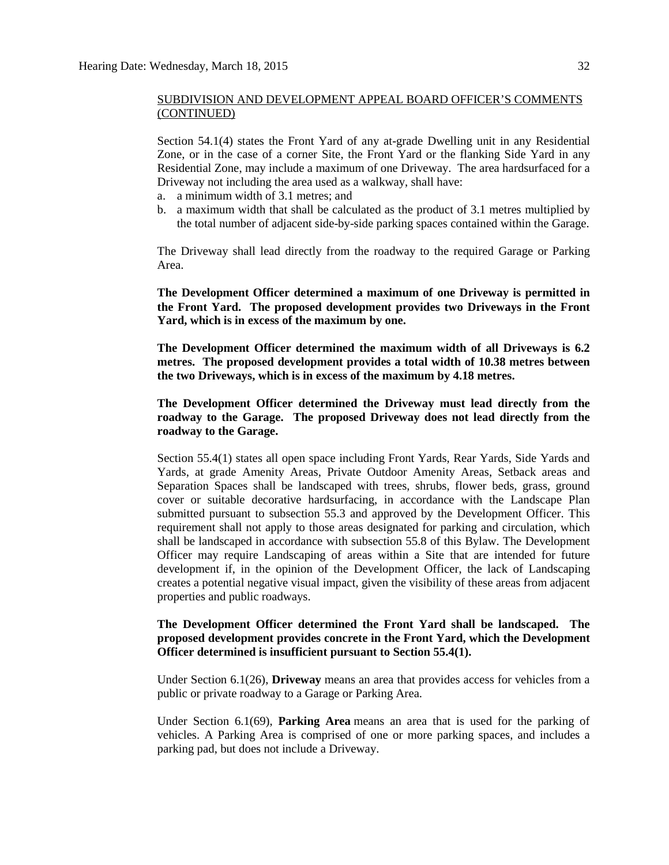Section 54.1(4) states the Front Yard of any at-grade Dwelling unit in any Residential Zone, or in the case of a corner Site, the Front Yard or the flanking Side Yard in any Residential Zone, may include a maximum of one Driveway. The area hardsurfaced for a Driveway not including the area used as a walkway, shall have:

- a. a minimum width of 3.1 metres; and
- b. a maximum width that shall be calculated as the product of 3.1 metres multiplied by the total number of adjacent side-by-side parking spaces contained within the Garage.

The Driveway shall lead directly from the roadway to the required Garage or Parking Area.

**The Development Officer determined a maximum of one Driveway is permitted in the Front Yard. The proposed development provides two Driveways in the Front Yard, which is in excess of the maximum by one.**

**The Development Officer determined the maximum width of all Driveways is 6.2 metres. The proposed development provides a total width of 10.38 metres between the two Driveways, which is in excess of the maximum by 4.18 metres.**

**The Development Officer determined the Driveway must lead directly from the roadway to the Garage. The proposed Driveway does not lead directly from the roadway to the Garage.**

Section 55.4(1) states all open space including Front Yards, Rear Yards, Side Yards and Yards, at grade Amenity Areas, Private Outdoor Amenity Areas, Setback areas and Separation Spaces shall be landscaped with trees, shrubs, flower beds, grass, ground cover or suitable decorative hardsurfacing, in accordance with the Landscape Plan submitted pursuant to subsection 55.3 and approved by the Development Officer. This requirement shall not apply to those areas designated for parking and circulation, which shall be landscaped in accordance with subsection 55.8 of this Bylaw. The Development Officer may require Landscaping of areas within a Site that are intended for future development if, in the opinion of the Development Officer, the lack of Landscaping creates a potential negative visual impact, given the visibility of these areas from adjacent properties and public roadways.

# **The Development Officer determined the Front Yard shall be landscaped. The proposed development provides concrete in the Front Yard, which the Development Officer determined is insufficient pursuant to Section 55.4(1).**

Under Section 6.1(26), **Driveway** means an area that provides access for vehicles from a public or private roadway to a Garage or Parking Area.

Under Section 6.1(69), **Parking Area** means an area that is used for the parking of vehicles. A Parking Area is comprised of one or more parking spaces, and includes a parking pad, but does not include a Driveway.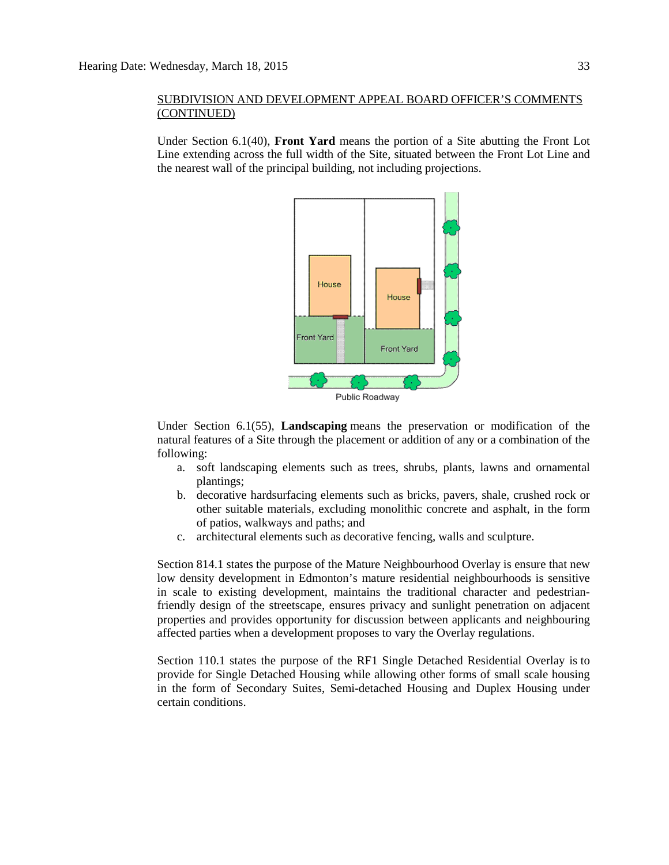Under Section 6.1(40), **Front Yard** means the portion of a Site abutting the Front Lot Line extending across the full width of the Site, situated between the Front Lot Line and the nearest wall of the principal building, not including projections.



Public Roadway

Under Section 6.1(55), **Landscaping** means the preservation or modification of the natural features of a Site through the placement or addition of any or a combination of the following:

- a. soft landscaping elements such as trees, shrubs, plants, lawns and ornamental plantings;
- b. decorative hardsurfacing elements such as bricks, pavers, shale, crushed rock or other suitable materials, excluding monolithic concrete and asphalt, in the form of patios, walkways and paths; and
- c. architectural elements such as decorative fencing, walls and sculpture.

Section 814.1 states the purpose of the Mature Neighbourhood Overlay is ensure that new low density development in Edmonton's mature residential neighbourhoods is sensitive in scale to existing development, maintains the traditional character and pedestrianfriendly design of the streetscape, ensures privacy and sunlight penetration on adjacent properties and provides opportunity for discussion between applicants and neighbouring affected parties when a development proposes to vary the Overlay regulations.

Section 110.1 states the purpose of the RF1 Single Detached Residential Overlay is to provide for Single Detached Housing while allowing other forms of small scale housing in the form of Secondary Suites, Semi-detached Housing and Duplex Housing under certain conditions.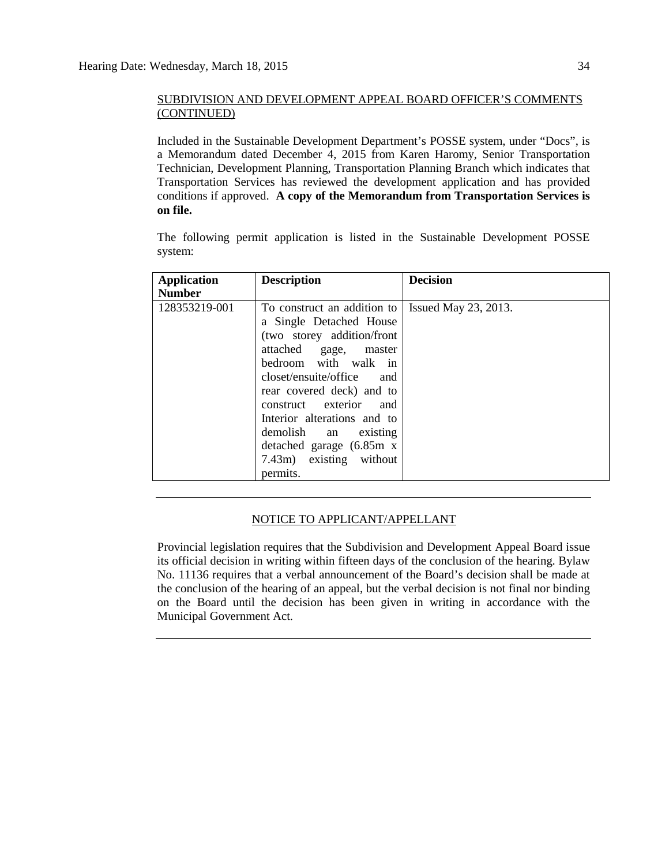Included in the Sustainable Development Department's POSSE system, under "Docs", is a Memorandum dated December 4, 2015 from Karen Haromy, Senior Transportation Technician, Development Planning, Transportation Planning Branch which indicates that Transportation Services has reviewed the development application and has provided conditions if approved. **A copy of the Memorandum from Transportation Services is on file.**

The following permit application is listed in the Sustainable Development POSSE system:

| <b>Application</b><br><b>Number</b> | <b>Description</b>                                                                                                                                                                                                                                                                                                                                               | <b>Decision</b>            |
|-------------------------------------|------------------------------------------------------------------------------------------------------------------------------------------------------------------------------------------------------------------------------------------------------------------------------------------------------------------------------------------------------------------|----------------------------|
| 128353219-001                       | To construct an addition to<br>a Single Detached House<br>(two storey addition/front<br>attached gage, master<br>bedroom with walk in<br>closet/ensuite/office<br>and<br>rear covered deck) and to<br>construct exterior<br>and<br>Interior alterations and to<br>demolish an existing<br>detached garage $(6.85m \times$<br>7.43m) existing without<br>permits. | Issued May $23$ , $2013$ . |

# NOTICE TO APPLICANT/APPELLANT

Provincial legislation requires that the Subdivision and Development Appeal Board issue its official decision in writing within fifteen days of the conclusion of the hearing. Bylaw No. 11136 requires that a verbal announcement of the Board's decision shall be made at the conclusion of the hearing of an appeal, but the verbal decision is not final nor binding on the Board until the decision has been given in writing in accordance with the Municipal Government Act.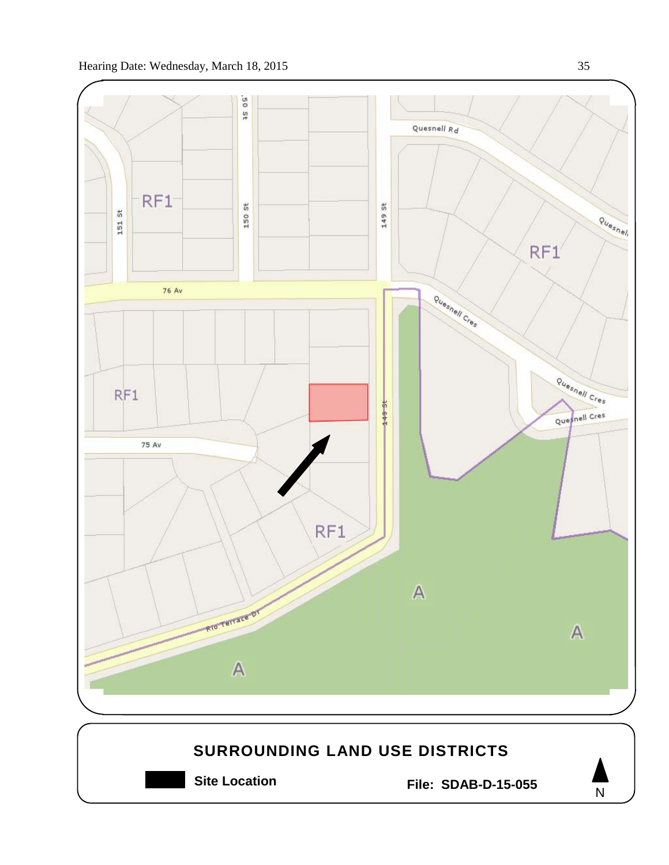

![](_page_34_Figure_2.jpeg)